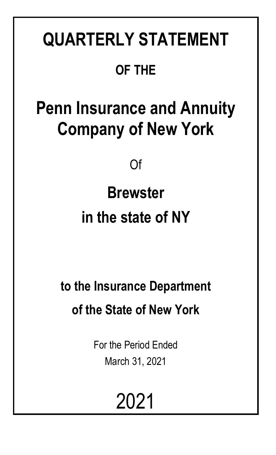# **QUARTERLY STATEMENT OF THE**

# **Penn Insurance and Annuity Company of New York**

Of

# **Brewster in the state of NY**

## **to the Insurance Department of the State of New York**

For the Period Ended March 31, 2021

2021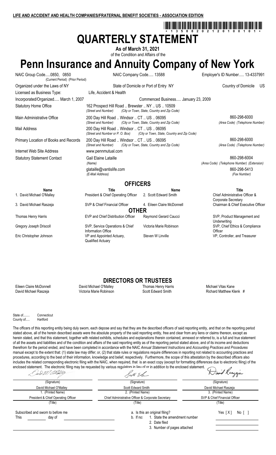## tična <sup>3</sup>na <sup>3</sup>na <sup>8</sup>na <sup>8</sup>na <sup>8</sup>na <sup>7</sup>na 6na 7na 7na 7na 8na 7na 8na 7na 8na 7na 7na 7n **QUARTERLY STATEMENT**

**As of March 31, 2021** of the Condition and Affairs of the

## **Penn Insurance and Annuity Company of New York**

NAIC Group Code.....0850, 0850 NAIC Company Code..... 13588 Employer's ID Number..... 13-4337991 (Current Period) (Prior Period)

Internet Web Site Address www.pennmutual.com

Organized under the Laws of NY State of Domicile or Port of Entry NY Country of Domicile US Licensed as Business Type: Life, Accident & Health Incorporated/Organized..... March 1, 2007 Commenced Business..... January 23, 2009 Statutory Home Office 162 Prospect Hill Road .. Brewster .. NY .. US .. 10509<br>
(Street and Number) City or Town. State. Country and Zip Co. *(City or Town, State, Country and Zip Code)* 

Main Administrative Office 200 Day Hill Road .. Windsor .. CT .. US .. 06095

Mail Address 200 Day Hill Road .. Windsor .. CT .. US .. 06095<br>(Street and Number or P. O. Box) (City or Town, State, *(City or Town, State, Country and Zip Code)* Primary Location of Books and Records 200 Day Hill Road .. Windsor .. CT .. US .. 06095 860-208-6000 860-298-6000 *(Street and Number) (City or Town, State, Country and Zip Code) (Area Code) (Telephone Number)*

 $(E$ -Mail Address)

*(Street and Number) (City or Town, State, Country and Zip Code) (Area Code) (Telephone Number)*

Statutory Statement Contact Contact Cail Elaine Lataille 860-298-6004 *(Name) (Area Code) (Telephone Number) (Extension)* glataille@vantislife.com 860-298-5413<br>(E-Mail Address) (E-Mail Address) (Fax Number)

Corporate Secretary

**Underwriting** 

**Officer** 

## **OFFICERS**



## **DIRECTORS OR TRUSTEES**

Eileen Claire McDonnell **Eileen Claire McDonnell Cavid David Michael O'Malley** Thomas Henry Harris Mannell Michael Vitas Kane<br>David Michael Raszeja **Michael State Wictoria Marie Robinson** Scott Edward Smith Communic Richar

Richard Matthew Klenk #

State of........ Connecticut County of..... Hartford

The officers of this reporting entity being duly sworn, each depose and say that they are the described officers of said reporting entity, and that on the reporting period stated above, all of the herein described assets were the absolute property of the said reporting entity, free and clear from any liens or claims thereon, except as herein stated, and that this statement, together with related exhibits, schedules and explanations therein contained, annexed or referred to, is a full and true statement of all the assets and liabilities and of the condition and affairs of the said reporting entity as of the reporting period stated above, and of its income and deductions therefrom for the period ended, and have been completed in accordance with the NAIC *Annual Statement Instructions* and *Accounting Practices and Procedures* manual except to the extent that: (1) state law may differ; or, (2) that state rules or regulations require differences in reporting not related to accounting practices and procedures, according to the best of their information, knowledge and belief, respectively. Furthermore, the scope of this attestation by the described officers also includes the related corresponding electronic filing with the NAIC, when required, that is an exact copy (except for formatting differences due to electronic filing) of the enclosed statement. The electronic filing may be requested by various regulators in lieu of or in addition to the enclosed statement.

| Sod M <i>Mølly</i>                  | Poot Ehm                                           | Hand Kangeza                  |
|-------------------------------------|----------------------------------------------------|-------------------------------|
| (Signature)                         | (Signature)                                        |                               |
| David Michael O'Malley              | Scott Edward Smith                                 | David Michael Raszeja         |
| 1. (Printed Name)                   | 2. (Printed Name)                                  | 3. (Printed Name)             |
| President & Chief Operating Officer | Chief Administrative Officer & Corporate Secretary | SVP & Chief Financial Officer |
| (Title)                             | (Title)                                            | (Title)                       |
| Subscribed and sworn to before me   | a. Is this an original filing?                     | Yes [X]<br>No [ 1             |
| This<br>day of                      | 1. State the amendment number<br>b. If no:         |                               |
|                                     | 2. Date filed                                      |                               |
|                                     | 3. Number of pages attached                        |                               |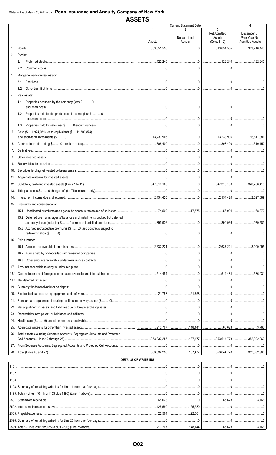**ASSETS** 

|            |                                                                               |                             | <b>Current Statement Date</b>                                                                                                                                                                                                                                                                                                                                                                                 |                                                | 4                                                       |
|------------|-------------------------------------------------------------------------------|-----------------------------|---------------------------------------------------------------------------------------------------------------------------------------------------------------------------------------------------------------------------------------------------------------------------------------------------------------------------------------------------------------------------------------------------------------|------------------------------------------------|---------------------------------------------------------|
|            |                                                                               | Assets                      | Nonadmitted<br>Assets                                                                                                                                                                                                                                                                                                                                                                                         | 3<br>Net Admitted<br>Assets<br>$(Cols. 1 - 2)$ | December 31<br>Prior Year Net<br><b>Admitted Assets</b> |
| $1_{-}$    |                                                                               |                             |                                                                                                                                                                                                                                                                                                                                                                                                               | $\ldots$ 333,651,555 323,716,140               |                                                         |
| 2.         | Stocks:                                                                       |                             |                                                                                                                                                                                                                                                                                                                                                                                                               |                                                |                                                         |
|            | 2.1                                                                           |                             |                                                                                                                                                                                                                                                                                                                                                                                                               |                                                |                                                         |
|            | 2.2                                                                           |                             |                                                                                                                                                                                                                                                                                                                                                                                                               |                                                |                                                         |
| 3.         | Mortgage loans on real estate:                                                |                             |                                                                                                                                                                                                                                                                                                                                                                                                               |                                                |                                                         |
|            | 3.1                                                                           |                             |                                                                                                                                                                                                                                                                                                                                                                                                               |                                                |                                                         |
|            | 3.2                                                                           |                             |                                                                                                                                                                                                                                                                                                                                                                                                               |                                                |                                                         |
| 4.         | Real estate:                                                                  |                             |                                                                                                                                                                                                                                                                                                                                                                                                               |                                                |                                                         |
|            | Properties occupied by the company (less \$0<br>4.1                           |                             |                                                                                                                                                                                                                                                                                                                                                                                                               |                                                |                                                         |
|            | 4.2                                                                           |                             |                                                                                                                                                                                                                                                                                                                                                                                                               |                                                |                                                         |
|            | 4.3                                                                           |                             |                                                                                                                                                                                                                                                                                                                                                                                                               |                                                |                                                         |
| 5.         | Cash (\$1,924,031), cash equivalents (\$11,309,874)                           |                             |                                                                                                                                                                                                                                                                                                                                                                                                               |                                                |                                                         |
|            |                                                                               |                             |                                                                                                                                                                                                                                                                                                                                                                                                               |                                                |                                                         |
| 6.         |                                                                               |                             |                                                                                                                                                                                                                                                                                                                                                                                                               |                                                | 310,152                                                 |
| 7.         |                                                                               |                             |                                                                                                                                                                                                                                                                                                                                                                                                               |                                                |                                                         |
| 8.         |                                                                               |                             |                                                                                                                                                                                                                                                                                                                                                                                                               |                                                |                                                         |
| 9.         |                                                                               |                             |                                                                                                                                                                                                                                                                                                                                                                                                               |                                                |                                                         |
| 10.        |                                                                               |                             |                                                                                                                                                                                                                                                                                                                                                                                                               |                                                |                                                         |
| 11.        |                                                                               |                             |                                                                                                                                                                                                                                                                                                                                                                                                               |                                                |                                                         |
| 12.<br>13. |                                                                               |                             |                                                                                                                                                                                                                                                                                                                                                                                                               |                                                |                                                         |
| 14.        |                                                                               |                             |                                                                                                                                                                                                                                                                                                                                                                                                               |                                                |                                                         |
|            | 15. Premiums and considerations:                                              |                             |                                                                                                                                                                                                                                                                                                                                                                                                               |                                                |                                                         |
|            |                                                                               |                             |                                                                                                                                                                                                                                                                                                                                                                                                               |                                                |                                                         |
|            | 15.2 Deferred premiums, agents' balances and installments booked but deferred |                             |                                                                                                                                                                                                                                                                                                                                                                                                               |                                                |                                                         |
|            |                                                                               |                             |                                                                                                                                                                                                                                                                                                                                                                                                               |                                                |                                                         |
|            | 15.3 Accrued retrospective premiums (\$0) and contracts subject to            |                             |                                                                                                                                                                                                                                                                                                                                                                                                               |                                                |                                                         |
|            | 16. Reinsurance:                                                              |                             |                                                                                                                                                                                                                                                                                                                                                                                                               |                                                |                                                         |
|            |                                                                               |                             |                                                                                                                                                                                                                                                                                                                                                                                                               |                                                |                                                         |
|            |                                                                               |                             | $\begin{array}{c c} \hline \rule{0mm}{4mm} \rule{0mm}{2mm} \rule{0mm}{2mm} \rule{0mm}{2mm} \rule{0mm}{2mm} \rule{0mm}{2mm} \rule{0mm}{2mm} \rule{0mm}{2mm} \rule{0mm}{2mm} \rule{0mm}{2mm} \rule{0mm}{2mm} \rule{0mm}{2mm} \rule{0mm}{2mm} \rule{0mm}{2mm} \rule{0mm}{2mm} \rule{0mm}{2mm} \rule{0mm}{2mm} \rule{0mm}{2mm} \rule{0mm}{2mm} \rule{0mm}{2mm} \rule{0mm}{2mm} \rule{0mm}{2mm} \rule{0mm}{2mm} \$ |                                                |                                                         |
|            |                                                                               |                             |                                                                                                                                                                                                                                                                                                                                                                                                               |                                                |                                                         |
| 17.        |                                                                               |                             |                                                                                                                                                                                                                                                                                                                                                                                                               |                                                |                                                         |
| 18.1       |                                                                               |                             |                                                                                                                                                                                                                                                                                                                                                                                                               |                                                |                                                         |
| 18.2       |                                                                               |                             |                                                                                                                                                                                                                                                                                                                                                                                                               |                                                |                                                         |
| 19.        |                                                                               |                             |                                                                                                                                                                                                                                                                                                                                                                                                               |                                                |                                                         |
| 20.        |                                                                               |                             | 21,758                                                                                                                                                                                                                                                                                                                                                                                                        |                                                |                                                         |
| 21.        |                                                                               |                             |                                                                                                                                                                                                                                                                                                                                                                                                               |                                                |                                                         |
| 22.        |                                                                               |                             |                                                                                                                                                                                                                                                                                                                                                                                                               |                                                |                                                         |
| 23.        |                                                                               |                             |                                                                                                                                                                                                                                                                                                                                                                                                               |                                                |                                                         |
| 24.        |                                                                               |                             |                                                                                                                                                                                                                                                                                                                                                                                                               |                                                |                                                         |
| 25.        |                                                                               |                             |                                                                                                                                                                                                                                                                                                                                                                                                               |                                                |                                                         |
| 26.        | Total assets excluding Separate Accounts, Segregated Accounts and Protected   |                             |                                                                                                                                                                                                                                                                                                                                                                                                               |                                                |                                                         |
| 27.        |                                                                               |                             |                                                                                                                                                                                                                                                                                                                                                                                                               |                                                |                                                         |
| 28.        |                                                                               |                             |                                                                                                                                                                                                                                                                                                                                                                                                               | 187,477   353,644,778   352,392,960            |                                                         |
|            |                                                                               | <b>DETAILS OF WRITE-INS</b> |                                                                                                                                                                                                                                                                                                                                                                                                               |                                                |                                                         |
|            |                                                                               |                             |                                                                                                                                                                                                                                                                                                                                                                                                               |                                                |                                                         |
|            |                                                                               |                             |                                                                                                                                                                                                                                                                                                                                                                                                               |                                                |                                                         |
|            |                                                                               |                             |                                                                                                                                                                                                                                                                                                                                                                                                               |                                                |                                                         |
|            |                                                                               |                             |                                                                                                                                                                                                                                                                                                                                                                                                               |                                                |                                                         |
|            |                                                                               |                             |                                                                                                                                                                                                                                                                                                                                                                                                               |                                                |                                                         |
|            |                                                                               |                             |                                                                                                                                                                                                                                                                                                                                                                                                               |                                                |                                                         |
|            |                                                                               |                             |                                                                                                                                                                                                                                                                                                                                                                                                               |                                                |                                                         |
|            |                                                                               |                             |                                                                                                                                                                                                                                                                                                                                                                                                               |                                                |                                                         |
|            |                                                                               |                             |                                                                                                                                                                                                                                                                                                                                                                                                               |                                                |                                                         |
|            |                                                                               |                             |                                                                                                                                                                                                                                                                                                                                                                                                               |                                                |                                                         |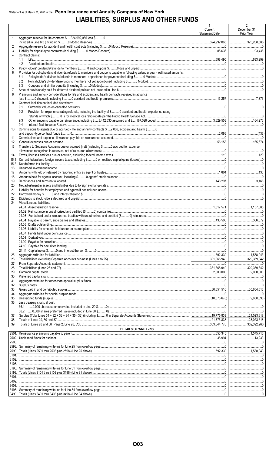## **LIABILITIES, SURPLUS AND OTHER FUNDS**

|              |                                                                                                                               | 1<br>Current<br><b>Statement Date</b> | 2<br>December 31<br>Prior Year |
|--------------|-------------------------------------------------------------------------------------------------------------------------------|---------------------------------------|--------------------------------|
| 1.           | Aggregate reserve for life contracts \$324,992,065 less \$0                                                                   |                                       |                                |
| 2.           |                                                                                                                               |                                       |                                |
| 3.<br>4.     | Contract claims:                                                                                                              |                                       |                                |
|              | 4.1                                                                                                                           |                                       |                                |
|              | 4.2                                                                                                                           |                                       |                                |
| 5.<br>6.     | Provision for policyholders' dividends/refunds to members and coupons payable in following calendar year - estimated amounts: |                                       |                                |
|              | 6.1                                                                                                                           |                                       |                                |
|              | 6.2                                                                                                                           |                                       |                                |
| 7.           | 6.3                                                                                                                           |                                       |                                |
| 8.           | Premiums and annuity considerations for life and accident and health contracts received in advance                            |                                       |                                |
|              |                                                                                                                               |                                       |                                |
| 9.           | Contract liabilities not included elsewhere:<br>9.1                                                                           |                                       |                                |
|              | Provision for experience rating refunds, including the liability of \$ O accident and health experience rating<br>9.2         |                                       |                                |
|              |                                                                                                                               |                                       |                                |
|              | 9.3<br>9.4                                                                                                                    |                                       |                                |
| 10.          | Commissions to agents due or accrued - life and annuity contracts \$2,086, accident and health \$0                            |                                       |                                |
|              |                                                                                                                               |                                       |                                |
| 11.<br>12.   |                                                                                                                               |                                       |                                |
| 13.          | Transfers to Separate Accounts due or accrued (net) (including \$ 0 accrued for expense                                       |                                       |                                |
|              |                                                                                                                               |                                       |                                |
| 14.          |                                                                                                                               |                                       |                                |
| 15.1<br>15.2 |                                                                                                                               |                                       |                                |
| 16.          |                                                                                                                               |                                       |                                |
| 17.          |                                                                                                                               |                                       |                                |
| 18.<br>19.   |                                                                                                                               |                                       |                                |
| 20.          |                                                                                                                               |                                       |                                |
| 21.          |                                                                                                                               |                                       |                                |
| 22.<br>23.   |                                                                                                                               |                                       |                                |
| 24.          | Miscellaneous liabilities:                                                                                                    |                                       |                                |
|              |                                                                                                                               |                                       |                                |
|              |                                                                                                                               |                                       |                                |
|              |                                                                                                                               |                                       |                                |
|              |                                                                                                                               |                                       |                                |
|              |                                                                                                                               |                                       |                                |
|              |                                                                                                                               |                                       |                                |
|              |                                                                                                                               |                                       |                                |
|              |                                                                                                                               |                                       |                                |
| 25.          |                                                                                                                               |                                       |                                |
| 26.          |                                                                                                                               |                                       |                                |
| 27.<br>28.   |                                                                                                                               |                                       | $\ldots$ 329,369,342           |
| 29.          |                                                                                                                               |                                       | 2,000,000                      |
| 30.          |                                                                                                                               |                                       |                                |
| 31.<br>32.   |                                                                                                                               |                                       |                                |
| 33.          |                                                                                                                               |                                       |                                |
| 34.          |                                                                                                                               |                                       |                                |
| 35.<br>36.   | Less treasury stock, at cost:                                                                                                 |                                       |                                |
|              |                                                                                                                               |                                       |                                |
|              |                                                                                                                               |                                       |                                |
| 37.<br>38.   |                                                                                                                               |                                       |                                |
| 39.          |                                                                                                                               |                                       | 352,392,960                    |
|              | <b>DETAILS OF WRITE-INS</b>                                                                                                   |                                       |                                |
|              |                                                                                                                               |                                       |                                |
|              |                                                                                                                               |                                       |                                |
|              |                                                                                                                               |                                       |                                |
| 3101.        |                                                                                                                               |                                       |                                |
|              |                                                                                                                               |                                       |                                |
| 3103.        |                                                                                                                               |                                       |                                |
|              |                                                                                                                               |                                       |                                |
|              |                                                                                                                               |                                       |                                |
|              |                                                                                                                               |                                       |                                |
| 3403.        |                                                                                                                               |                                       |                                |
|              |                                                                                                                               |                                       |                                |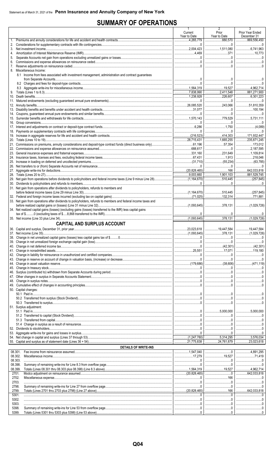## **SUMMARY OF OPERATIONS**

|    |                                                                                                                | $\mathbf{L}$<br>Current<br>Year to Date | $\mathcal{L}$<br>Prior<br>Year to Date                                                                                                                                                                                                                                                                                                                              | Prior Year Ended<br>December 31 |
|----|----------------------------------------------------------------------------------------------------------------|-----------------------------------------|---------------------------------------------------------------------------------------------------------------------------------------------------------------------------------------------------------------------------------------------------------------------------------------------------------------------------------------------------------------------|---------------------------------|
|    |                                                                                                                | 1.265.779                               |                                                                                                                                                                                                                                                                                                                                                                     |                                 |
|    |                                                                                                                |                                         |                                                                                                                                                                                                                                                                                                                                                                     |                                 |
| 4. |                                                                                                                |                                         | 371   10.773                                                                                                                                                                                                                                                                                                                                                        |                                 |
| 5. |                                                                                                                |                                         |                                                                                                                                                                                                                                                                                                                                                                     |                                 |
| 6. |                                                                                                                |                                         | 0                                                                                                                                                                                                                                                                                                                                                                   |                                 |
|    | 8. Miscellaneous Income:                                                                                       |                                         |                                                                                                                                                                                                                                                                                                                                                                     |                                 |
|    | 8.1 Income from fees associated with investment management, administration and contract guarantees             |                                         |                                                                                                                                                                                                                                                                                                                                                                     |                                 |
|    |                                                                                                                |                                         |                                                                                                                                                                                                                                                                                                                                                                     |                                 |
|    |                                                                                                                |                                         |                                                                                                                                                                                                                                                                                                                                                                     |                                 |
|    |                                                                                                                |                                         |                                                                                                                                                                                                                                                                                                                                                                     |                                 |
|    |                                                                                                                |                                         |                                                                                                                                                                                                                                                                                                                                                                     |                                 |
|    |                                                                                                                |                                         | 243.066   51.810.359                                                                                                                                                                                                                                                                                                                                                |                                 |
|    |                                                                                                                |                                         |                                                                                                                                                                                                                                                                                                                                                                     |                                 |
|    |                                                                                                                |                                         |                                                                                                                                                                                                                                                                                                                                                                     |                                 |
|    |                                                                                                                |                                         | 779.529   5.731.111                                                                                                                                                                                                                                                                                                                                                 |                                 |
|    |                                                                                                                |                                         |                                                                                                                                                                                                                                                                                                                                                                     |                                 |
|    |                                                                                                                |                                         |                                                                                                                                                                                                                                                                                                                                                                     |                                 |
|    |                                                                                                                |                                         |                                                                                                                                                                                                                                                                                                                                                                     |                                 |
|    |                                                                                                                |                                         |                                                                                                                                                                                                                                                                                                                                                                     |                                 |
|    |                                                                                                                |                                         | 57,354   173,012                                                                                                                                                                                                                                                                                                                                                    |                                 |
|    |                                                                                                                |                                         | 231.649   1.109.814                                                                                                                                                                                                                                                                                                                                                 |                                 |
|    |                                                                                                                |                                         |                                                                                                                                                                                                                                                                                                                                                                     |                                 |
|    |                                                                                                                |                                         | $\begin{picture}(20,10) \put(0,0){\vector(1,0){100}} \put(15,0){\vector(1,0){100}} \put(15,0){\vector(1,0){100}} \put(15,0){\vector(1,0){100}} \put(15,0){\vector(1,0){100}} \put(15,0){\vector(1,0){100}} \put(15,0){\vector(1,0){100}} \put(15,0){\vector(1,0){100}} \put(15,0){\vector(1,0){100}} \put(15,0){\vector(1,0){100}} \put(15,0){\vector(1,0){100}} \$ |                                 |
|    |                                                                                                                |                                         |                                                                                                                                                                                                                                                                                                                                                                     |                                 |
|    |                                                                                                                |                                         | $\overline{1,901,103}$ 881,529,745                                                                                                                                                                                                                                                                                                                                  |                                 |
|    |                                                                                                                |                                         |                                                                                                                                                                                                                                                                                                                                                                     |                                 |
|    |                                                                                                                |                                         |                                                                                                                                                                                                                                                                                                                                                                     |                                 |
|    | 31. Net gain from operations after dividends to policyholders, refunds to members and                          |                                         |                                                                                                                                                                                                                                                                                                                                                                     |                                 |
|    |                                                                                                                |                                         |                                                                                                                                                                                                                                                                                                                                                                     |                                 |
|    | 33. Net gain from operations after dividends to policyholders, refunds to members and federal income taxes and |                                         |                                                                                                                                                                                                                                                                                                                                                                     |                                 |
|    | 34. Net realized capital gains (losses) (excluding gains (losses) transferred to the IMR) less capital gains   |                                         |                                                                                                                                                                                                                                                                                                                                                                     |                                 |
|    |                                                                                                                |                                         |                                                                                                                                                                                                                                                                                                                                                                     |                                 |
|    |                                                                                                                |                                         | $\ldots$ 378.131                                                                                                                                                                                                                                                                                                                                                    |                                 |
|    | <b>CAPITAL AND SURPLUS ACCOUNT</b>                                                                             |                                         |                                                                                                                                                                                                                                                                                                                                                                     |                                 |
|    |                                                                                                                |                                         |                                                                                                                                                                                                                                                                                                                                                                     |                                 |
|    |                                                                                                                |                                         |                                                                                                                                                                                                                                                                                                                                                                     |                                 |
|    |                                                                                                                |                                         |                                                                                                                                                                                                                                                                                                                                                                     |                                 |
|    |                                                                                                                |                                         |                                                                                                                                                                                                                                                                                                                                                                     |                                 |
|    |                                                                                                                |                                         | 17.071   119.180                                                                                                                                                                                                                                                                                                                                                    |                                 |
|    |                                                                                                                |                                         |                                                                                                                                                                                                                                                                                                                                                                     |                                 |
|    |                                                                                                                |                                         |                                                                                                                                                                                                                                                                                                                                                                     |                                 |
|    |                                                                                                                |                                         |                                                                                                                                                                                                                                                                                                                                                                     |                                 |
|    |                                                                                                                |                                         |                                                                                                                                                                                                                                                                                                                                                                     |                                 |
|    |                                                                                                                |                                         |                                                                                                                                                                                                                                                                                                                                                                     |                                 |
|    |                                                                                                                |                                         |                                                                                                                                                                                                                                                                                                                                                                     |                                 |
|    | 50. Capital changes:                                                                                           |                                         |                                                                                                                                                                                                                                                                                                                                                                     |                                 |
|    |                                                                                                                |                                         |                                                                                                                                                                                                                                                                                                                                                                     |                                 |
|    |                                                                                                                |                                         |                                                                                                                                                                                                                                                                                                                                                                     |                                 |
|    | 51. Surplus adjustment:                                                                                        |                                         |                                                                                                                                                                                                                                                                                                                                                                     |                                 |
|    |                                                                                                                |                                         | $\ldots$ 5,000,000   5,000,000                                                                                                                                                                                                                                                                                                                                      |                                 |
|    |                                                                                                                |                                         |                                                                                                                                                                                                                                                                                                                                                                     |                                 |
|    |                                                                                                                |                                         |                                                                                                                                                                                                                                                                                                                                                                     |                                 |
|    |                                                                                                                |                                         |                                                                                                                                                                                                                                                                                                                                                                     |                                 |
|    |                                                                                                                |                                         |                                                                                                                                                                                                                                                                                                                                                                     |                                 |
|    |                                                                                                                |                                         |                                                                                                                                                                                                                                                                                                                                                                     |                                 |
|    | <b>DETAILS OF WRITE-INS</b>                                                                                    |                                         |                                                                                                                                                                                                                                                                                                                                                                     |                                 |
|    | 08.301.                                                                                                        |                                         |                                                                                                                                                                                                                                                                                                                                                                     |                                 |
|    | 08.302.<br>08.303.                                                                                             |                                         |                                                                                                                                                                                                                                                                                                                                                                     |                                 |
|    | 08.398.                                                                                                        |                                         |                                                                                                                                                                                                                                                                                                                                                                     |                                 |
|    | 08.399.                                                                                                        |                                         |                                                                                                                                                                                                                                                                                                                                                                     |                                 |
|    | 2701.                                                                                                          |                                         |                                                                                                                                                                                                                                                                                                                                                                     |                                 |
|    | 2702.<br>2703.                                                                                                 |                                         |                                                                                                                                                                                                                                                                                                                                                                     |                                 |
|    | 2798.                                                                                                          |                                         |                                                                                                                                                                                                                                                                                                                                                                     |                                 |
|    | 2799.                                                                                                          |                                         |                                                                                                                                                                                                                                                                                                                                                                     |                                 |
|    | 5301.<br>5302.                                                                                                 |                                         |                                                                                                                                                                                                                                                                                                                                                                     |                                 |
|    | 5303.                                                                                                          |                                         |                                                                                                                                                                                                                                                                                                                                                                     |                                 |
|    | 5398.                                                                                                          |                                         |                                                                                                                                                                                                                                                                                                                                                                     |                                 |
|    | 5399.                                                                                                          |                                         |                                                                                                                                                                                                                                                                                                                                                                     |                                 |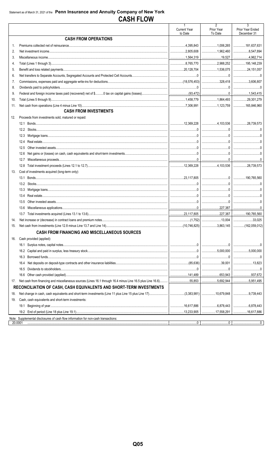|     |                                                                                               | $\mathbf{1}$<br><b>Current Year</b><br>to Date | $\overline{2}$<br>Prior Year<br>To Date                                                                                                                                                                                                                                                                                                              | 3<br>Prior Year Ended<br>December 31 |
|-----|-----------------------------------------------------------------------------------------------|------------------------------------------------|------------------------------------------------------------------------------------------------------------------------------------------------------------------------------------------------------------------------------------------------------------------------------------------------------------------------------------------------------|--------------------------------------|
|     | <b>CASH FROM OPERATIONS</b>                                                                   |                                                |                                                                                                                                                                                                                                                                                                                                                      |                                      |
| 1.  |                                                                                               |                                                |                                                                                                                                                                                                                                                                                                                                                      | 181,637,631                          |
| 2.  |                                                                                               |                                                | 1,962,460                                                                                                                                                                                                                                                                                                                                            | 8,547,894                            |
| 3.  |                                                                                               |                                                |                                                                                                                                                                                                                                                                                                                                                      | 4,962,714                            |
| 4.  |                                                                                               |                                                |                                                                                                                                                                                                                                                                                                                                                      | 195,148,239                          |
| 5.  |                                                                                               |                                                | 1,536,075                                                                                                                                                                                                                                                                                                                                            | 24,151,057                           |
| 6.  |                                                                                               |                                                | $\begin{array}{l} \rule{0.2cm}{0.15mm} \rule{0.2cm}{0.15mm} \rule{0.2cm}{0.15mm} \rule{0.2cm}{0.15mm} \rule{0.2cm}{0.15mm} \rule{0.2cm}{0.15mm} \rule{0.2cm}{0.15mm} \rule{0.2cm}{0.15mm} \rule{0.2cm}{0.15mm} \rule{0.2cm}{0.15mm} \rule{0.2cm}{0.15mm} \rule{0.2cm}{0.15mm} \rule{0.2cm}{0.15mm} \rule{0.2cm}{0.15mm} \rule{0.2cm}{0.15mm} \rule{$ |                                      |
| 7.  |                                                                                               |                                                |                                                                                                                                                                                                                                                                                                                                                      | 3,606,807                            |
| 8.  |                                                                                               |                                                |                                                                                                                                                                                                                                                                                                                                                      |                                      |
| 9.  |                                                                                               |                                                |                                                                                                                                                                                                                                                                                                                                                      | 1,543,415                            |
| 10. |                                                                                               |                                                | 1,864,493                                                                                                                                                                                                                                                                                                                                            | 29,301,279                           |
| 11. |                                                                                               |                                                | 1,123,759                                                                                                                                                                                                                                                                                                                                            | 165,846,960                          |
|     | <b>CASH FROM INVESTMENTS</b>                                                                  |                                                |                                                                                                                                                                                                                                                                                                                                                      |                                      |
| 12. | Proceeds from investments sold, matured or repaid:                                            |                                                |                                                                                                                                                                                                                                                                                                                                                      |                                      |
|     |                                                                                               |                                                |                                                                                                                                                                                                                                                                                                                                                      | 28,739.573                           |
|     |                                                                                               |                                                |                                                                                                                                                                                                                                                                                                                                                      |                                      |
|     |                                                                                               |                                                |                                                                                                                                                                                                                                                                                                                                                      |                                      |
|     | 12.4                                                                                          |                                                |                                                                                                                                                                                                                                                                                                                                                      |                                      |
|     | 12.5                                                                                          |                                                |                                                                                                                                                                                                                                                                                                                                                      |                                      |
|     | 12.6                                                                                          |                                                |                                                                                                                                                                                                                                                                                                                                                      |                                      |
|     | 12.7                                                                                          |                                                |                                                                                                                                                                                                                                                                                                                                                      |                                      |
|     | 12.8                                                                                          |                                                |                                                                                                                                                                                                                                                                                                                                                      | 28,739,573                           |
| 13. | Cost of investments acquired (long-term only):                                                |                                                |                                                                                                                                                                                                                                                                                                                                                      |                                      |
|     |                                                                                               |                                                |                                                                                                                                                                                                                                                                                                                                                      |                                      |
|     |                                                                                               |                                                |                                                                                                                                                                                                                                                                                                                                                      |                                      |
|     | 13.3                                                                                          |                                                |                                                                                                                                                                                                                                                                                                                                                      |                                      |
|     | 13.4                                                                                          |                                                |                                                                                                                                                                                                                                                                                                                                                      |                                      |
|     | 13.5                                                                                          |                                                | $\begin{array}{l} \rule{0.2cm}{0.15mm} \rule{0.2cm}{0.15mm} \rule{0.2cm}{0.15mm} \rule{0.2cm}{0.15mm} \rule{0.2cm}{0.15mm} \rule{0.2cm}{0.15mm} \rule{0.2cm}{0.15mm} \rule{0.2cm}{0.15mm} \rule{0.2cm}{0.15mm} \rule{0.2cm}{0.15mm} \rule{0.2cm}{0.15mm} \rule{0.2cm}{0.15mm} \rule{0.2cm}{0.15mm} \rule{0.2cm}{0.15mm} \rule{0.2cm}{0.15mm} \rule{$ |                                      |
|     |                                                                                               |                                                |                                                                                                                                                                                                                                                                                                                                                      |                                      |
|     | 13.7                                                                                          |                                                |                                                                                                                                                                                                                                                                                                                                                      | 190,765,560                          |
| 14. |                                                                                               |                                                |                                                                                                                                                                                                                                                                                                                                                      | 33,025                               |
| 15. |                                                                                               |                                                |                                                                                                                                                                                                                                                                                                                                                      |                                      |
|     | <b>CASH FROM FINANCING AND MISCELLANEOUS SOURCES</b>                                          |                                                |                                                                                                                                                                                                                                                                                                                                                      |                                      |
| 16. | Cash provided (applied):                                                                      |                                                |                                                                                                                                                                                                                                                                                                                                                      |                                      |
|     |                                                                                               |                                                |                                                                                                                                                                                                                                                                                                                                                      |                                      |
|     |                                                                                               |                                                |                                                                                                                                                                                                                                                                                                                                                      | $\ldots$ 5,000,000                   |
|     | 16.3                                                                                          |                                                |                                                                                                                                                                                                                                                                                                                                                      | 0                                    |
|     | 16.4                                                                                          |                                                |                                                                                                                                                                                                                                                                                                                                                      |                                      |
|     | 16.5                                                                                          |                                                |                                                                                                                                                                                                                                                                                                                                                      |                                      |
|     |                                                                                               |                                                | <u>653,943</u>                                                                                                                                                                                                                                                                                                                                       | 937,672                              |
| 17. |                                                                                               |                                                | $\ldots$ 5,692,944                                                                                                                                                                                                                                                                                                                                   | 5,951,495                            |
|     | RECONCILIATION OF CASH, CASH EQUIVALENTS AND SHORT-TERM INVESTMENTS                           |                                                |                                                                                                                                                                                                                                                                                                                                                      |                                      |
|     |                                                                                               |                                                |                                                                                                                                                                                                                                                                                                                                                      |                                      |
| 18. |                                                                                               |                                                |                                                                                                                                                                                                                                                                                                                                                      | 9,739,443                            |
| 19. | Cash, cash equivalents and short-term investments:                                            |                                                |                                                                                                                                                                                                                                                                                                                                                      |                                      |
|     |                                                                                               |                                                |                                                                                                                                                                                                                                                                                                                                                      |                                      |
|     |                                                                                               |                                                | 17,558,291                                                                                                                                                                                                                                                                                                                                           | 16,617,886                           |
|     | Note: Supplemental disclosures of cash flow information for non-cash transactions:<br>20.0001 |                                                |                                                                                                                                                                                                                                                                                                                                                      |                                      |
|     |                                                                                               |                                                |                                                                                                                                                                                                                                                                                                                                                      |                                      |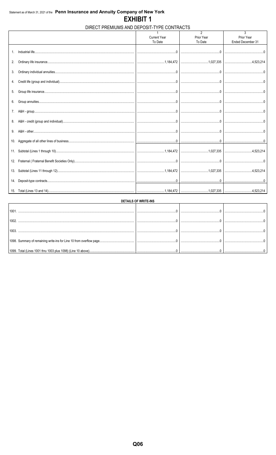## DIRECT PREMIUMS AND DEPOSIT-TYPE CONTRACTS

|     | <b>Current Year</b><br>To Date | $\mathfrak{p}$<br>Prior Year<br>To Date | 3<br>Prior Year<br>Ended December 31 |
|-----|--------------------------------|-----------------------------------------|--------------------------------------|
|     |                                |                                         |                                      |
|     |                                |                                         |                                      |
|     |                                |                                         |                                      |
|     |                                |                                         |                                      |
|     |                                |                                         |                                      |
|     |                                |                                         |                                      |
|     |                                |                                         |                                      |
| 7.  |                                |                                         |                                      |
|     |                                |                                         |                                      |
| 9.  |                                |                                         |                                      |
| 10. |                                |                                         |                                      |
|     |                                |                                         |                                      |
|     |                                |                                         |                                      |
|     |                                |                                         |                                      |
|     |                                |                                         |                                      |
|     |                                |                                         |                                      |

| <b>DETAILS OF WRITE-INS</b>                                  |  |  |  |  |  |  |  |  |  |  |  |  |  |
|--------------------------------------------------------------|--|--|--|--|--|--|--|--|--|--|--|--|--|
|                                                              |  |  |  |  |  |  |  |  |  |  |  |  |  |
|                                                              |  |  |  |  |  |  |  |  |  |  |  |  |  |
| 100                                                          |  |  |  |  |  |  |  |  |  |  |  |  |  |
|                                                              |  |  |  |  |  |  |  |  |  |  |  |  |  |
| 1099. Total (Lines 1001 thru 1003 plus 1098) (Line 10 above) |  |  |  |  |  |  |  |  |  |  |  |  |  |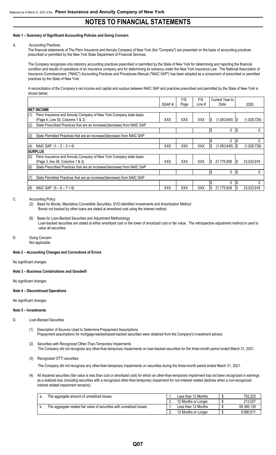#### **Note 1 – Summary of Significant Accounting Policies and Going Concern**

#### A. Accounting Practices

The financial statements of The Penn Insurance and Annuity Company of New York (the "Company") are presented on the basis of accounting practices prescribed or permitted by the New York State Department of Financial Services.

The Company recognizes only statutory accounting practices prescribed or permitted by the State of New York for determining and reporting the financial condition and results of operations of an insurance company and for determining its solvency under the New York Insurance Law. The National Association of Insurance Commissioners' ("NAIC") Accounting Practices and Procedures Manual ("NAIC SAP") has been adopted as a component of prescribed or permitted practices by the State of New York.

A reconciliation of the Company's net income and capital and surplus between NAIC SAP and practices prescribed and permitted by the State of New York is shown below:

|     |                                                                          | SSAP#      | F/S        | F/S        | Current Year to<br>Date |            | 2020        |
|-----|--------------------------------------------------------------------------|------------|------------|------------|-------------------------|------------|-------------|
|     |                                                                          |            | Page       | Line #     |                         |            |             |
|     | <b>INET INCOME</b>                                                       |            |            |            |                         |            |             |
| (1) | Penn Insurance and Annuity Company of New York Company state basis       |            |            |            |                         |            |             |
|     | (Page 4, Line 35, Columns 1 & 3)                                         | <b>XXX</b> | <b>XXX</b> | <b>XXX</b> | $(1,093,645)$ S<br>13   |            | (1.029.726) |
| (2) | State Prescribed Practices that are an increase/(decrease) from NAIC SAP |            |            |            |                         |            |             |
|     |                                                                          |            |            |            | Ŝ.<br>0                 | l\$        |             |
| (3) | State Permitted Practices that are an increase/(decrease) from NAIC SAP  |            |            |            |                         |            |             |
|     |                                                                          |            |            |            | 0                       | l\$        |             |
| (4) | NAIC SAP $(1 - 2 - 3 = 4)$                                               | <b>XXX</b> | <b>XXX</b> | <b>XXX</b> | l\$<br>(1.093.645)      |            | (1,029,726) |
|     | <b>SURPLUS</b>                                                           |            |            |            |                         |            |             |
| (5) | Penn Insurance and Annuity Company of New York Company state basis       |            |            |            |                         |            |             |
|     | (Page 3, line 38, Columns 1 & 2)                                         | <b>XXX</b> | <b>XXX</b> | <b>XXX</b> | 21.775.838<br>I\$       | IS         | 23.023.618  |
| (6) | State Prescribed Practices that are an increase/(decrease) from NAIC SAP |            |            |            |                         |            |             |
|     |                                                                          |            |            |            | I\$<br>0                | $\sqrt{3}$ | 0           |
| (7) | State Permitted Practices that are an increase/(decrease) from NAIC SAP  |            |            |            |                         |            |             |
|     |                                                                          |            |            |            | 0                       | I\$        |             |
| (8) | NAIC SAP $(5 - 6 - 7 = 8)$                                               | <b>XXX</b> | XXX        | <b>XXX</b> | 21,775,838<br>IS        | I\$        | 23.023.618  |

#### C. Accounting Policy

(2) Basis for Bonds, Mandatory Convertible Securities, SVO-Identified Investments and Amortization Method

Bonds not backed by other loans are stated at amortized cost using the interest method.

- (6) Basis for Loan-Backed Securities and Adjustment Methodology Loan-backed securities are stated at either amortized cost or the lower of amortized cost or fair value. The retrospective adjustment method is used to value all securities.
- D. Going Concern Not applicable

#### **Note 2 – Accounting Changes and Corrections of Errors**

#### No significant changes

**Note 3 – Business Combinations and Goodwill**

No significant changes

#### **Note 4 – Discontinued Operations**

#### No significant changes

#### **Note 5 – Investments**

- D. Loan-Backed Securities
	- (1) Description of Sources Used to Determine Prepayment Assumptions Prepayment assumptions for mortgage-backed/asset-backed securities were obtained from the Company's investment advisor.
	- (2) Securities with Recognized Other-Than-Temporary Impairments The Company did not recognize any other-than-temporary impairments on loan-backed securities for the three-month period ended March 31, 2021.
	- (3) Recognized OTTI securities

The Company did not recognize any other-than-temporary impairments on securities during the three-month period ended March 31, 2021.

(4) All impaired securities (fair value is less than cost or amortized cost) for which an other-than-temporary impairment has not been recognized in earnings as a realized loss (including securities with a recognized other-than-temporary impairment for non-interest related declines when a non-recognized interest related impairment remains):

| а. | The aggregate amount of unrealized losses:                             | Less than 12 Months | 752.222    |
|----|------------------------------------------------------------------------|---------------------|------------|
|    |                                                                        | 12 Months or Longer | 213.027    |
|    | The aggregate related fair value of securities with unrealized losses: | Less than 12 Months | 58.366.139 |
|    |                                                                        | 12 Months or Longer | 8.990.011  |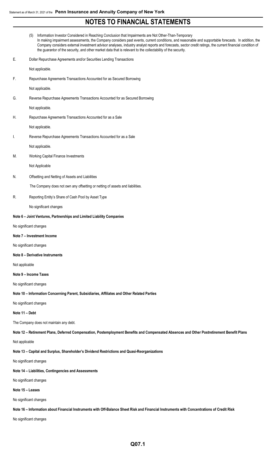|                | Information Investor Considered in Reaching Conclusion that Impairments are Not Other-Than-Temporary<br>(5)<br>In making impairment assessments, the Company considers past events, current conditions, and reasonable and supportable forecasts. In addition, the<br>Company considers external investment advisor analyses, industry analyst reports and forecasts, sector credit ratings, the current financial condition of<br>the guarantor of the security, and other market data that is relevant to the collectability of the security. |  |
|----------------|-------------------------------------------------------------------------------------------------------------------------------------------------------------------------------------------------------------------------------------------------------------------------------------------------------------------------------------------------------------------------------------------------------------------------------------------------------------------------------------------------------------------------------------------------|--|
| E.             | Dollar Repurchase Agreements and/or Securities Lending Transactions                                                                                                                                                                                                                                                                                                                                                                                                                                                                             |  |
|                | Not applicable.                                                                                                                                                                                                                                                                                                                                                                                                                                                                                                                                 |  |
| F.             | Repurchase Agreements Transactions Accounted for as Secured Borrowing                                                                                                                                                                                                                                                                                                                                                                                                                                                                           |  |
|                | Not applicable.                                                                                                                                                                                                                                                                                                                                                                                                                                                                                                                                 |  |
| G.             | Reverse Repurchase Agreements Transactions Accounted for as Secured Borrowing                                                                                                                                                                                                                                                                                                                                                                                                                                                                   |  |
|                | Not applicable.                                                                                                                                                                                                                                                                                                                                                                                                                                                                                                                                 |  |
| Н.             | Repurchase Agreements Transactions Accounted for as a Sale                                                                                                                                                                                                                                                                                                                                                                                                                                                                                      |  |
|                | Not applicable.                                                                                                                                                                                                                                                                                                                                                                                                                                                                                                                                 |  |
| I.             | Reverse Repurchase Agreements Transactions Accounted for as a Sale                                                                                                                                                                                                                                                                                                                                                                                                                                                                              |  |
|                | Not applicable.                                                                                                                                                                                                                                                                                                                                                                                                                                                                                                                                 |  |
| М.             | Working Capital Finance Investments                                                                                                                                                                                                                                                                                                                                                                                                                                                                                                             |  |
|                | Not Applicable                                                                                                                                                                                                                                                                                                                                                                                                                                                                                                                                  |  |
| N.             | Offsetting and Netting of Assets and Liabilities                                                                                                                                                                                                                                                                                                                                                                                                                                                                                                |  |
|                | The Company does not own any offsetting or netting of assets and liabilities.                                                                                                                                                                                                                                                                                                                                                                                                                                                                   |  |
| R.             | Reporting Entity's Share of Cash Pool by Asset Type                                                                                                                                                                                                                                                                                                                                                                                                                                                                                             |  |
|                | No significant changes                                                                                                                                                                                                                                                                                                                                                                                                                                                                                                                          |  |
|                | Note 6 - Joint Ventures, Partnerships and Limited Liability Companies                                                                                                                                                                                                                                                                                                                                                                                                                                                                           |  |
|                | No significant changes                                                                                                                                                                                                                                                                                                                                                                                                                                                                                                                          |  |
|                | Note 7 - Investment Income                                                                                                                                                                                                                                                                                                                                                                                                                                                                                                                      |  |
|                | No significant changes                                                                                                                                                                                                                                                                                                                                                                                                                                                                                                                          |  |
|                | Note 8 - Derivative Instruments                                                                                                                                                                                                                                                                                                                                                                                                                                                                                                                 |  |
| Not applicable |                                                                                                                                                                                                                                                                                                                                                                                                                                                                                                                                                 |  |

#### **Note 9 – Income Taxes**

No significant changes

**Note 10 – Information Concerning Parent, Subsidiaries, Affiliates and Other Related Parties**

No significant changes

#### **Note 11 – Debt**

The Company does not maintain any debt.

**Note 12 – Retirement Plans, Deferred Compensation, Postemployment Benefits and Compensated Absences and Other Postretirement Benefit Plans**

#### Not applicable

**Note 13 – Capital and Surplus, Shareholder's Dividend Restrictions and Quasi-Reorganizations**

No significant changes

**Note 14 – Liabilities, Contingencies and Assessments**

No significant changes

### **Note 15 – Leases**

No significant changes

**Note 16 – Information about Financial Instruments with Off-Balance Sheet Risk and Financial Instruments with Concentrations of Credit Risk**

No significant changes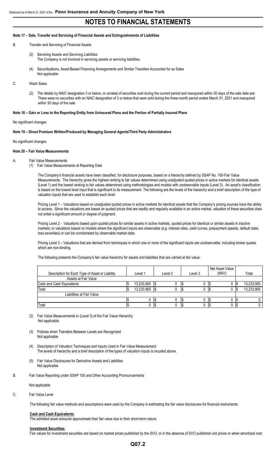#### **Note 17 – Sale, Transfer and Servicing of Financial Assets and Extinguishments of Liabilities**

- B. Transfer and Servicing of Financial Assets
	- (2) Servicing Assets and Servicing Liabilities The Company is not involved in servicing assets or servicing liabilities.
	- (4) Securitizations, Asset-Based Financing Arrangements and Similar Transfers Accounted for as Sales Not applicable
- C. Wash Sales
	- (2) The details by NAIC designation 3 or below, or unrated of securities sold during the current period and reacquired within 30 days of the sale date are: There were no securities with an NAIC designation of 3 or below that were sold during the three-month period ended March 31, 2021 and reacquired within 30 days of the sale.

#### **Note 18 – Gain or Loss to the Reporting Entity from Uninsured Plans and the Portion of Partially Insured Plans**

#### No significant changes

#### **Note 19 – Direct Premium Written/Produced by Managing General Agents/Third Party Administrators**

#### No significant changes

#### **Note 20 – Fair Value Measurements**

- A. Fair Value Measurements
	- (1) Fair Value Measurements at Reporting Date

The Company's financial assets have been classified, for disclosure purposes, based on a hierarchy defined by SSAP No. 100-Fair Value Measurements. The hierarchy gives the highest ranking to fair values determined using unadjusted quoted prices in active markets for identical assets (Level 1) and the lowest ranking to fair values determined using methodologies and models with unobservable inputs (Level 3). An asset's classification is based on the lowest level input that is significant to its measurement. The following are the levels of the hierarchy and a brief description of the type of valuation inputs that are used to establish each level:

Pricing Level 1 – Valuations based on unadjusted quoted prices in active markets for identical assets that the Company's pricing sources have the ability to access. Since the valuations are based on quoted prices that are readily and regularly available in an active market, valuation of these securities does not entail a significant amount or degree of judgment.

Pricing Level 2 - Valuations based upon quoted prices for similar assets in active markets, quoted prices for identical or similar assets in inactive markets; or valuations based on models where the significant inputs are observable (e.g. interest rates, yield curves, prepayment speeds, default rates, loss severities) or can be corroborated by observable market data.

Pricing Level 3 – Valuations that are derived from techniques in which one or more of the significant inputs are unobservable, including broker quotes which are non-binding.

The following presents the Company's fair value hierarchy for assets and liabilities that are carried at fair value:

| Description for Each Type of Asset or Liability | Level 1    |  | Level 2 |  | Level 3 | Net Asset Value<br>(NAV) |  | Total      |
|-------------------------------------------------|------------|--|---------|--|---------|--------------------------|--|------------|
| Assets at Fair Value                            |            |  |         |  |         |                          |  |            |
| Cash and Cash Equivalents                       | 13,233,905 |  |         |  | U       | IJ                       |  | 13,233,905 |
| Total                                           | 13,233,905 |  |         |  |         |                          |  | 13,233,905 |
| Liabilities at Fair Value                       |            |  |         |  |         |                          |  |            |
|                                                 |            |  |         |  | υ       |                          |  |            |
| Total                                           |            |  |         |  | 0       | ٦3                       |  |            |

(2) Fair Value Measurements in (Level 3) of the Fair Value Hierarchy Not applicable

- (3) Policies when Transfers Between Levels are Recognized Not applicable
- (4) Description of Valuation Techniques and Inputs Used in Fair Value Measurement The levels of hierarchy and a brief description of the types of valuation inputs is incuded above.
- (5) Fair Value Disclosures for Derivative Assets and Liabilities Not applicable
- B. Fair Value Reporting under SSAP 100 and Other Accounting Pronouncements

Not applicable

#### C. Fair Value Level

The following fair value methods and assumptions were used by the Company in estimating the fair value disclosures for financial instruments:

#### **Cash and Cash Equivalents:**

The admitted asset amounts approximate their fair value due to their short-term nature.

#### **Investment Securities:**

Fair values for investment securities are based on market prices published by the SVO, or in the absence of SVO published unit prices or when amortized cost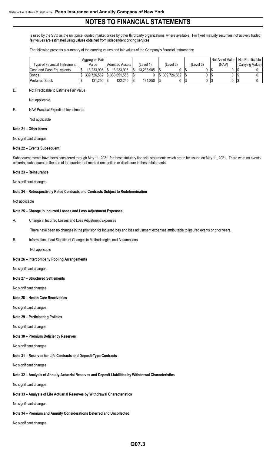is used by the SVO as the unit price, quoted market prices by other third party organizations, where available. For fixed maturity securities not actively traded, fair values are estimated using values obtained from independent pricing services.

The following presents a summary of the carrying values and fair values of the Company's financial instruments:

|                                   | Aggregate Fair            |                        |            |             |           |      | Net Asset Value | Not Practicable I |
|-----------------------------------|---------------------------|------------------------|------------|-------------|-----------|------|-----------------|-------------------|
| Type of Financial Instrument      | Value                     | <b>Admitted Assets</b> | Level 1)   | 'Level 2)   | (Level 3) |      | (NAV)           | Carrying Value)   |
| <b>ICash and Cash Equivalents</b> | 13.233.905                | 13.233.905             | 13.233.905 |             |           | ٦.   |                 |                   |
| <b>Bonds</b>                      | 339.726.562 S 333.651.555 |                        |            | 339.726.562 |           | - 15 |                 |                   |
| <b>Preferred Stock</b>            | 131.250                   | 122.240                | 131.250    |             |           | - 15 |                 |                   |

#### D. Not Practicable to Estimate Fair Value

Not applicable

E. NAV Practical Expedient Investments

Not applicable

#### **Note 21 – Other Items**

#### No significant changes

#### **Note 22 – Events Subsequent**

Subsequent events have been considered through May 11, 2021 for these statutory financial statements which are to be issued on May 11, 2021. There were no events occurring subsequent to the end of the quarter that merited recognition or disclosure in these statements.

#### **Note 23 – Reinsurance**

No significant changes

#### **Note 24 – Retrospectively Rated Contracts and Contracts Subject to Redetermination**

Not applicable

#### **Note 25 – Change in Incurred Losses and Loss Adjustment Expenses**

A. Change in Incurred Losses and Loss Adjustment Expenses

There have been no changes in the provision for incurred loss and loss adjustment expenses attributable to insured events or prior years.

#### B. Information about Significant Changes in Methodologies and Assumptions

Not applicable

#### **Note 26 – Intercompany Pooling Arrangements**

No significant changes

#### **Note 27 – Structured Settlements**

No significant changes

#### **Note 28 – Health Care Receivables**

No significant changes

#### **Note 29 – Participating Policies**

No significant changes

#### **Note 30 – Premium Deficiency Reserves**

No significant changes

#### **Note 31 – Reserves for Life Contracts and Deposit-Type Contracts**

No significant changes

## **Note 32 – Analysis of Annuity Actuarial Reserves and Deposit Liabilities by Withdrawal Characteristics**

No significant changes

#### **Note 33 – Analysis of Life Actuarial Reserves by Withdrawal Characteristics**

No significant changes

#### **Note 34 – Premium and Annuity Considerations Deferred and Uncollected**

No significant changes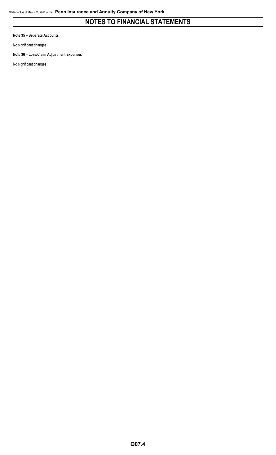**Note 35 – Separate Accounts**

No significant changes

### **Note 36 – Loss/Claim Adjustment Expenses**

No significant changes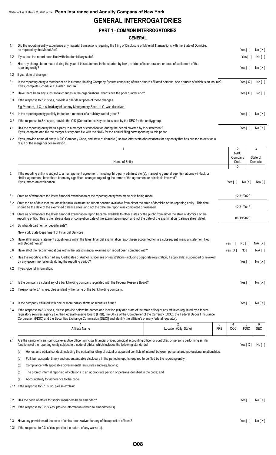## **GENERAL INTERROGATORIES**

### **PART 1 - COMMON INTERROGATORIES**

#### **GENERAL**

| 1.1 | Did the reporting entity experience any material transactions requiring the filing of Disclosure of Material Transactions with the State of Domicile,<br>as required by the Model Act?                                                      | Yes [ ]                | No[X]    |
|-----|---------------------------------------------------------------------------------------------------------------------------------------------------------------------------------------------------------------------------------------------|------------------------|----------|
| 1.2 | If yes, has the report been filed with the domiciliary state?                                                                                                                                                                               | Yes $[ \ ]$            | No [ ]   |
| 2.1 | Has any change been made during the year of this statement in the charter, by-laws, articles of incorporation, or deed of settlement of the<br>reporting entity?                                                                            | Yes [ i                | No[X]    |
| 2.2 | If yes, date of change:                                                                                                                                                                                                                     |                        |          |
| 3.1 | Is the reporting entity a member of an Insurance Holding Company System consisting of two or more affiliated persons, one or more of which is an insurer?<br>If yes, complete Schedule Y, Parts 1 and 1A.                                   | Yes $[X]$              | No [ ]   |
| 3.2 | Have there been any substantial changes in the organizational chart since the prior quarter end?                                                                                                                                            | Yes $[X]$              | No [ ]   |
| 3.3 | If the response to 3.2 is yes, provide a brief description of those changes.                                                                                                                                                                |                        |          |
|     | Fig Partners, LLC, a subsidiary of Janney Montgomery Scott, LLC, was dissolved.                                                                                                                                                             |                        |          |
| 3.4 | Is the reporting entity publicly traded or a member of a publicly traded group?                                                                                                                                                             | Yes [ ]                | No[X]    |
| 3.5 | If the response to 3.4 is yes, provide the CIK (Central Index Key) code issued by the SEC for the entity/group.                                                                                                                             |                        |          |
| 4.1 | Has the reporting entity been a party to a merger or consolidation during the period covered by this statement?<br>If yes, complete and file the merger history data file with the NAIC for the annual filing corresponding to this period. | Yes $\lceil$ $\rceil$  | No[X]    |
| 4.2 | If yes, provide name of entity, NAIC Company Code, and state of domicile (use two letter state abbreviation) for any entity that has ceased to exist as a<br>result of the merger or consolidation.                                         |                        |          |
|     |                                                                                                                                                                                                                                             | $\mathfrak{p}$         | 3        |
|     |                                                                                                                                                                                                                                             | <b>NAIC</b><br>Company | State of |
|     | Name of Entity                                                                                                                                                                                                                              | Code                   | Domicile |
|     |                                                                                                                                                                                                                                             | $\mathbf{0}$           |          |

| 5.  | If the reporting entity is subject to a management agreement, including third-party administrator(s), managing general agent(s), attorney-in-fact, or<br>similar agreement, have there been any significant changes regarding the terms of the agreement or principals involved?<br>If yes, attach an explanation.                                                                                                                           |            | Yes $\lceil$ $\rceil$ | No[X]               | $N/A$ [ ]               |
|-----|----------------------------------------------------------------------------------------------------------------------------------------------------------------------------------------------------------------------------------------------------------------------------------------------------------------------------------------------------------------------------------------------------------------------------------------------|------------|-----------------------|---------------------|-------------------------|
| 6.1 | State as of what date the latest financial examination of the reporting entity was made or is being made.                                                                                                                                                                                                                                                                                                                                    |            |                       | 12/31/2020          |                         |
|     | 6.2 State the as of date that the latest financial examination report became available from either the state of domicile or the reporting entity. This date<br>should be the date of the examined balance sheet and not the date the report was completed or released.                                                                                                                                                                       |            |                       | 12/31/2018          |                         |
| 6.3 | State as of what date the latest financial examination report became available to other states or the public from either the state of domicile or the<br>reporting entity. This is the release date or completion date of the examination report and not the date of the examination (balance sheet date).                                                                                                                                   |            |                       | 06/19/2020          |                         |
| 6.4 | By what department or departments?                                                                                                                                                                                                                                                                                                                                                                                                           |            |                       |                     |                         |
|     | New York State Department of Financial Services                                                                                                                                                                                                                                                                                                                                                                                              |            |                       |                     |                         |
| 6.5 | Have all financial statement adjustments within the latest financial examination report been accounted for in a subsequent financial statement filed<br>with Departments?                                                                                                                                                                                                                                                                    |            | Yes $\lceil$ 1        | No [ 1              | N/A[X]                  |
| 6.6 | Have all of the recommendations within the latest financial examination report been complied with?                                                                                                                                                                                                                                                                                                                                           |            | Yes $[X]$             | No [ ]              | $N/A$ $\lceil$ $\rceil$ |
| 7.1 | Has this reporting entity had any Certificates of Authority, licenses or registrations (including corporate registration, if applicable) suspended or revoked<br>by any governmental entity during the reporting period?                                                                                                                                                                                                                     |            |                       | Yes $\lceil \rceil$ | No[X]                   |
| 7.2 | If yes, give full information:                                                                                                                                                                                                                                                                                                                                                                                                               |            |                       |                     |                         |
| 8.1 | Is the company a subsidiary of a bank holding company regulated with the Federal Reserve Board?                                                                                                                                                                                                                                                                                                                                              |            |                       | Yes $\lceil$ 1      | No[X]                   |
| 8.2 | If response to 8.1 is yes, please identify the name of the bank holding company.                                                                                                                                                                                                                                                                                                                                                             |            |                       |                     |                         |
| 8.3 | Is the company affiliated with one or more banks, thrifts or securities firms?                                                                                                                                                                                                                                                                                                                                                               |            |                       | Yes [ 1             | No[X]                   |
| 8.4 | If the response to 8.3 is yes, please provide below the names and location (city and state of the main office) of any affiliates regulated by a federal<br>requiatory services agency [i.e. the Federal Reserve Board (FRB), the Office of the Comptroller of the Currency (OCC), the Federal Deposit Insurance<br>Corporation (FDIC) and the Securities Exchange Commission (SEC)] and identify the affiliate's primary federal regulator]. |            |                       |                     |                         |
|     | $\overline{2}$                                                                                                                                                                                                                                                                                                                                                                                                                               | 3          | 4                     | 5                   | 6                       |
|     | Affiliate Name<br>Location (City, State)                                                                                                                                                                                                                                                                                                                                                                                                     | <b>FRB</b> | <b>OCC</b>            | <b>FDIC</b>         | <b>SEC</b>              |
| 9.1 | Are the senior officers (principal executive officer, principal financial officer, principal accounting officer or controller, or persons performing similar<br>functions) of the reporting entity subject to a code of ethics, which includes the following standards?                                                                                                                                                                      |            |                       | Yes $[X]$           | No <sub>1</sub>         |

(a) Honest and ethical conduct, including the ethical handling of actual or apparent conflicts of interest between personal and professional relationships;

(b) Full, fair, accurate, timely and understandable disclosure in the periodic reports required to be filed by the reporting entity;

- (c) Compliance with applicable governmental laws, rules and regulations;
- (d) The prompt internal reporting of violations to an appropriate person or persons identified in the code; and
- (e) Accountability for adherence to the code.
- 9.11 If the response to 9.1 is No, please explain:
- 9.2 Has the code of ethics for senior managers been amended? Yes [ ] No [X]
- 9.21 If the response to 9.2 is Yes, provide information related to amendment(s).
- 9.3 Have any provisions of the code of ethics been waived for any of the specified officers?<br>
9.3 Have any provisions of the code of ethics been waived for any of the specified officers?
- 9.31 If the response to 9.3 is Yes, provide the nature of any waiver(s).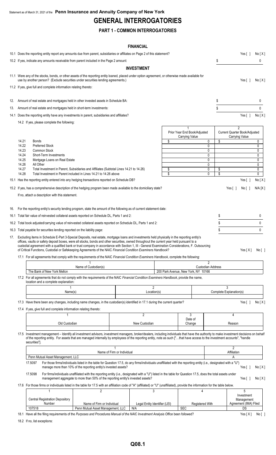## **GENERAL INTERROGATORIES**

## **PART 1 - COMMON INTERROGATORIES**

### **FINANCIAL**

|            |                                                                      | 10.1 Does the reporting entity report any amounts due from parent, subsidiaries or affiliates on Page 2 of this statement?                                                                                                                                                                                                                                                                                                                                                                                                                                                                                                                                                                                                                                                                                                                                                                                                                                                                                                                                                                                                                                                                                                                                                                     |                                                                                                                                                                                                                                                                                                                                                                                                      |                            |                   |                               |                                                |                                                                          | Yes $\lceil \; \rceil$                                                                                          | No[X]                                                                                                  |
|------------|----------------------------------------------------------------------|------------------------------------------------------------------------------------------------------------------------------------------------------------------------------------------------------------------------------------------------------------------------------------------------------------------------------------------------------------------------------------------------------------------------------------------------------------------------------------------------------------------------------------------------------------------------------------------------------------------------------------------------------------------------------------------------------------------------------------------------------------------------------------------------------------------------------------------------------------------------------------------------------------------------------------------------------------------------------------------------------------------------------------------------------------------------------------------------------------------------------------------------------------------------------------------------------------------------------------------------------------------------------------------------|------------------------------------------------------------------------------------------------------------------------------------------------------------------------------------------------------------------------------------------------------------------------------------------------------------------------------------------------------------------------------------------------------|----------------------------|-------------------|-------------------------------|------------------------------------------------|--------------------------------------------------------------------------|-----------------------------------------------------------------------------------------------------------------|--------------------------------------------------------------------------------------------------------|
|            |                                                                      | 10.2 If yes, indicate any amounts receivable from parent included in the Page 2 amount:                                                                                                                                                                                                                                                                                                                                                                                                                                                                                                                                                                                                                                                                                                                                                                                                                                                                                                                                                                                                                                                                                                                                                                                                        |                                                                                                                                                                                                                                                                                                                                                                                                      |                            |                   |                               |                                                | \$                                                                       |                                                                                                                 | 0                                                                                                      |
|            |                                                                      |                                                                                                                                                                                                                                                                                                                                                                                                                                                                                                                                                                                                                                                                                                                                                                                                                                                                                                                                                                                                                                                                                                                                                                                                                                                                                                |                                                                                                                                                                                                                                                                                                                                                                                                      |                            | <b>INVESTMENT</b> |                               |                                                |                                                                          |                                                                                                                 |                                                                                                        |
|            |                                                                      | 11.1 Were any of the stocks, bonds, or other assets of the reporting entity loaned, placed under option agreement, or otherwise made available for<br>use by another person? (Exclude securities under securities lending agreements.)<br>11.2 If yes, give full and complete information relating thereto:                                                                                                                                                                                                                                                                                                                                                                                                                                                                                                                                                                                                                                                                                                                                                                                                                                                                                                                                                                                    |                                                                                                                                                                                                                                                                                                                                                                                                      |                            |                   |                               |                                                |                                                                          | Yes $\lceil \; \rceil$                                                                                          | No[X]                                                                                                  |
| 12.        |                                                                      | Amount of real estate and mortgages held in other invested assets in Schedule BA:                                                                                                                                                                                                                                                                                                                                                                                                                                                                                                                                                                                                                                                                                                                                                                                                                                                                                                                                                                                                                                                                                                                                                                                                              |                                                                                                                                                                                                                                                                                                                                                                                                      |                            |                   |                               |                                                | \$                                                                       |                                                                                                                 | 0                                                                                                      |
| 13.        |                                                                      | Amount of real estate and mortgages held in short-term investments:                                                                                                                                                                                                                                                                                                                                                                                                                                                                                                                                                                                                                                                                                                                                                                                                                                                                                                                                                                                                                                                                                                                                                                                                                            |                                                                                                                                                                                                                                                                                                                                                                                                      |                            |                   |                               |                                                | \$                                                                       |                                                                                                                 | 0                                                                                                      |
|            |                                                                      |                                                                                                                                                                                                                                                                                                                                                                                                                                                                                                                                                                                                                                                                                                                                                                                                                                                                                                                                                                                                                                                                                                                                                                                                                                                                                                |                                                                                                                                                                                                                                                                                                                                                                                                      |                            |                   |                               |                                                |                                                                          |                                                                                                                 |                                                                                                        |
|            |                                                                      | 14.1 Does the reporting entity have any investments in parent, subsidiaries and affiliates?<br>14.2 If yes, please complete the following:                                                                                                                                                                                                                                                                                                                                                                                                                                                                                                                                                                                                                                                                                                                                                                                                                                                                                                                                                                                                                                                                                                                                                     |                                                                                                                                                                                                                                                                                                                                                                                                      |                            |                   |                               |                                                |                                                                          | Yes $[ ]$                                                                                                       | No[X]                                                                                                  |
| 16.<br>17. | 14.21<br>14.22<br>14.23<br>14.24<br>14.25<br>14.26<br>14.27<br>14.28 | Bonds<br><b>Preferred Stock</b><br><b>Common Stock</b><br>Short-Term Investments<br>Mortgage Loans on Real Estate<br>All Other<br>Total Investment in Parent, Subsidiaries and Affiliates (Subtotal Lines 14.21 to 14.26)<br>Total Investment in Parent included in Lines 14.21 to 14.26 above<br>15.1 Has the reporting entity entered into any hedging transactions reported on Schedule DB?<br>15.2 If yes, has a comprehensive description of the hedging program been made available to the domiciliary state?<br>If no, attach a description with this statement.<br>For the reporting entity's security lending program, state the amount of the following as of current statement date:<br>16.1 Total fair value of reinvested collateral assets reported on Schedule DL, Parts 1 and 2:<br>16.2 Total book adjusted/carrying value of reinvested collateral assets reported on Schedule DL, Parts 1 and 2:<br>16.3 Total payable for securities lending reported on the liability page:<br>Excluding items in Schedule E-Part 3-Special Deposits, real estate, mortgage loans and investments held physically in the reporting entity's<br>offices, vaults or safety deposit boxes, were all stocks, bonds and other securities, owned throughout the current year held pursuant to a |                                                                                                                                                                                                                                                                                                                                                                                                      |                            |                   | \$<br>\$<br>\$                | Prior Year End Book/Adjusted<br>Carrying Value | 0<br>\$<br>0<br>0<br>0<br>0<br>0<br>0<br>\$<br>\$<br>0<br>\$<br>\$<br>\$ | $\mathfrak{p}$<br>Current Quarter Book/Adjusted<br>Carrying Value<br>Yes[ ]<br>Yes $\lceil \; \rceil$<br>No [ ] | 0<br>$\mathbf 0$<br>0<br>0<br>0<br>$\mathbf 0$<br>0<br>0<br>No[X]<br>N/A [X]<br>0<br>0<br>$\mathbf{0}$ |
|            |                                                                      | custodial agreement with a qualified bank or trust company in accordance with Section 1, III - General Examination Considerations, F. Outsourcing<br>of Critical Functions, Custodial or Safekeeping Agreements of the NAIC Financial Condition Examiners Handbook?<br>17.1 For all agreements that comply with the requirements of the NAIC Financial Condition Examiners Handbook, complete the following:                                                                                                                                                                                                                                                                                                                                                                                                                                                                                                                                                                                                                                                                                                                                                                                                                                                                                   |                                                                                                                                                                                                                                                                                                                                                                                                      |                            |                   |                               |                                                |                                                                          |                                                                                                                 | Yes[X] No[]                                                                                            |
|            |                                                                      |                                                                                                                                                                                                                                                                                                                                                                                                                                                                                                                                                                                                                                                                                                                                                                                                                                                                                                                                                                                                                                                                                                                                                                                                                                                                                                |                                                                                                                                                                                                                                                                                                                                                                                                      |                            |                   |                               |                                                | 2                                                                        |                                                                                                                 |                                                                                                        |
|            |                                                                      | The Bank of New York Mellon                                                                                                                                                                                                                                                                                                                                                                                                                                                                                                                                                                                                                                                                                                                                                                                                                                                                                                                                                                                                                                                                                                                                                                                                                                                                    | Name of Custodian(s)                                                                                                                                                                                                                                                                                                                                                                                 |                            |                   |                               | 200 Park Avenue, New York, NY 10166            | <b>Custodian Address</b>                                                 |                                                                                                                 |                                                                                                        |
|            |                                                                      | 17.2 For all agreements that do not comply with the requirements of the NAIC Financial Condition Examiners Handbook, provide the name,<br>location and a complete explanation:                                                                                                                                                                                                                                                                                                                                                                                                                                                                                                                                                                                                                                                                                                                                                                                                                                                                                                                                                                                                                                                                                                                 |                                                                                                                                                                                                                                                                                                                                                                                                      |                            |                   |                               |                                                |                                                                          |                                                                                                                 |                                                                                                        |
|            |                                                                      | Name(s)                                                                                                                                                                                                                                                                                                                                                                                                                                                                                                                                                                                                                                                                                                                                                                                                                                                                                                                                                                                                                                                                                                                                                                                                                                                                                        |                                                                                                                                                                                                                                                                                                                                                                                                      |                            | Location(s)       | $\overline{2}$                |                                                |                                                                          | 3<br>Complete Explanation(s)                                                                                    |                                                                                                        |
|            |                                                                      | 17.3 Have there been any changes, including name changes, in the custodian(s) identified in 17.1 during the current quarter?                                                                                                                                                                                                                                                                                                                                                                                                                                                                                                                                                                                                                                                                                                                                                                                                                                                                                                                                                                                                                                                                                                                                                                   |                                                                                                                                                                                                                                                                                                                                                                                                      |                            |                   |                               |                                                |                                                                          | Yes [ ]                                                                                                         | No[X]                                                                                                  |
|            |                                                                      | 17.4 If yes, give full and complete information relating thereto:                                                                                                                                                                                                                                                                                                                                                                                                                                                                                                                                                                                                                                                                                                                                                                                                                                                                                                                                                                                                                                                                                                                                                                                                                              |                                                                                                                                                                                                                                                                                                                                                                                                      |                            |                   |                               |                                                |                                                                          |                                                                                                                 |                                                                                                        |
|            |                                                                      |                                                                                                                                                                                                                                                                                                                                                                                                                                                                                                                                                                                                                                                                                                                                                                                                                                                                                                                                                                                                                                                                                                                                                                                                                                                                                                |                                                                                                                                                                                                                                                                                                                                                                                                      |                            | $\overline{2}$    |                               | 3                                              |                                                                          | 4                                                                                                               |                                                                                                        |
|            |                                                                      | Old Custodian                                                                                                                                                                                                                                                                                                                                                                                                                                                                                                                                                                                                                                                                                                                                                                                                                                                                                                                                                                                                                                                                                                                                                                                                                                                                                  |                                                                                                                                                                                                                                                                                                                                                                                                      |                            | New Custodian     |                               | Date of<br>Change                              |                                                                          | Reason                                                                                                          |                                                                                                        |
|            |                                                                      | 17.5 Investment management - Identify all investment advisors, investment managers, broker/dealers, including individuals that have the authority to make investment decisions on behalf<br>of the reporting entity. For assets that are managed internally by employees of the reporting entity, note as such ["that have access to the investment accounts", "handle<br>securities"].                                                                                                                                                                                                                                                                                                                                                                                                                                                                                                                                                                                                                                                                                                                                                                                                                                                                                                        |                                                                                                                                                                                                                                                                                                                                                                                                      |                            |                   |                               |                                                |                                                                          | $\overline{2}$                                                                                                  |                                                                                                        |
|            |                                                                      |                                                                                                                                                                                                                                                                                                                                                                                                                                                                                                                                                                                                                                                                                                                                                                                                                                                                                                                                                                                                                                                                                                                                                                                                                                                                                                |                                                                                                                                                                                                                                                                                                                                                                                                      | Name of Firm or Individual |                   |                               |                                                |                                                                          | Affiliation                                                                                                     |                                                                                                        |
|            |                                                                      | Penn Mutual Asset Management, LLC<br>17.5097<br>17.5098                                                                                                                                                                                                                                                                                                                                                                                                                                                                                                                                                                                                                                                                                                                                                                                                                                                                                                                                                                                                                                                                                                                                                                                                                                        | For those firms/individuals listed in the table for Question 17.5, do any firms/individuals unaffiliated with the reporting entity (i.e., designated with a "U")<br>manage more than 10% of the reporting entity's invested assets?<br>For firms/individuals unaffiliated with the reporting entity (i.e., designated with a "U") listed in the table for Question 17.5, does the total assets under |                            |                   |                               |                                                |                                                                          | A<br>Yes[]                                                                                                      | No[X]                                                                                                  |
|            |                                                                      |                                                                                                                                                                                                                                                                                                                                                                                                                                                                                                                                                                                                                                                                                                                                                                                                                                                                                                                                                                                                                                                                                                                                                                                                                                                                                                | management aggregate to more than 50% of the reporting entity's invested assets?                                                                                                                                                                                                                                                                                                                     |                            |                   |                               |                                                |                                                                          | Yes [ ]                                                                                                         | No[X]                                                                                                  |
|            |                                                                      | 17.6 For those firms or individuals listed in the table for 17.5 with an affiliation code of "A" (affiliated) or "U" (unaffiliated), provide the information for the table below.<br>1                                                                                                                                                                                                                                                                                                                                                                                                                                                                                                                                                                                                                                                                                                                                                                                                                                                                                                                                                                                                                                                                                                         | 2                                                                                                                                                                                                                                                                                                                                                                                                    |                            |                   | 3                             | 4                                              |                                                                          | 5                                                                                                               |                                                                                                        |
|            |                                                                      | <b>Central Registration Depository</b><br>Number<br>107518                                                                                                                                                                                                                                                                                                                                                                                                                                                                                                                                                                                                                                                                                                                                                                                                                                                                                                                                                                                                                                                                                                                                                                                                                                     | Name of Firm or Individual<br>Penn Mutual Asset Management, LLC                                                                                                                                                                                                                                                                                                                                      |                            | N/A               | Legal Entity Identifier (LEI) | Registered With<br><b>SEC</b>                  |                                                                          | Investment<br>Management<br>Agreement (IMA) Filed<br>DS                                                         |                                                                                                        |
|            |                                                                      |                                                                                                                                                                                                                                                                                                                                                                                                                                                                                                                                                                                                                                                                                                                                                                                                                                                                                                                                                                                                                                                                                                                                                                                                                                                                                                |                                                                                                                                                                                                                                                                                                                                                                                                      |                            |                   |                               |                                                |                                                                          |                                                                                                                 |                                                                                                        |

18.1 Have all the filing requirements of the Purposes and Procedures Manual of the NAIC Investment Analysis Office been followed? Yes [X] No [ ]

18.2 If no, list exceptions: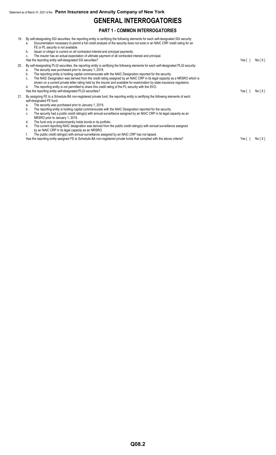## **GENERAL INTERROGATORIES**

## **PART 1 - COMMON INTERROGATORIES**

| 19. | By self-designating 5GI securities, the reporting entity is certifying the following elements for each self-designated 5GI security:<br>Documentation necessary to permit a full credit analysis of the security does not exist or an NAIC CRP credit rating for an<br>a.<br>FE or PL security is not available.<br>Issuer or obligor is current on all contracted interest and principal payments.<br>b.<br>The insurer has an actual expectation of ultimate payment of all contracted interest and principal.<br>c.<br>Has the reporting entity self-designated 5GI securities?                                                                                                                                                                                                                                                                                         | Yes [ 1     | No[X]  |
|-----|----------------------------------------------------------------------------------------------------------------------------------------------------------------------------------------------------------------------------------------------------------------------------------------------------------------------------------------------------------------------------------------------------------------------------------------------------------------------------------------------------------------------------------------------------------------------------------------------------------------------------------------------------------------------------------------------------------------------------------------------------------------------------------------------------------------------------------------------------------------------------|-------------|--------|
| 20. | By self-designating PLGI securities, the reporting entity is certifying the following elements for each self-designated PLGI security:<br>The security was purchased prior to January 1, 2018.<br>a.<br>The reporting entity is holding capital commensurate with the NAIC Designation reported for the security.<br>b.<br>The NAIC Designation was derived from the credit rating assigned by an NAIC CRP in its legal capacity as a NRSRO which is<br>c.<br>shown on a current private letter rating held by the insurer and available for examination by state insurance regulators.<br>The reporting entity is not permitted to share this credit rating of the PL security with the SVO.<br>d.<br>Has the reporting entity self-designated PLGI securities?                                                                                                           | Yes [ 1     | No [X] |
| 21. | By assigning FE to a Schedule BA non-registered private fund, the reporting entity is certifying the following elements of each<br>self-designated FE fund:<br>The security was purchased prior to January 1, 2019.<br>а.<br>The reporting entity is holding capital commensurate with the NAIC Designation reported for the security.<br>b.<br>The security had a public credit rating(s) with annual surveillance assigned by an NAIC CRP in its legal capacity as an<br>C.<br>NRSRO prior to January 1, 2019.<br>The fund only or predominantly holds bonds in its portfolio.<br>d.<br>The current reporting NAIC designation was derived from the public credit rating(s) with annual surveillance assigned<br>е.<br>by an NAIC CRP in its legal capacity as an NRSRO.<br>The public credit rating(s) with annual surveillance assigned by an NAIC CRP has not lapsed. |             |        |
|     | Has the reporting entity assigned FE to Schedule BA non-registered private funds that complied with the above criteria?                                                                                                                                                                                                                                                                                                                                                                                                                                                                                                                                                                                                                                                                                                                                                    | Yes $[ \ ]$ | No[X]  |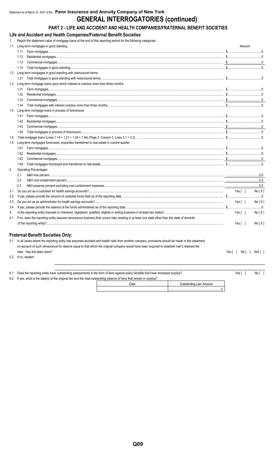## **GENERAL INTERROGATORIES (continued)**

## PART 2 - LIFE AND ACCIDENT AND HEALTH COMPANIES/FRATERNAL BENEFIT SOCIETIES

Life and Accident and Health Companies/Fraternal Benefit Societies

1. Report the statement value of mortgage loans at the end of this reporting period for the following categories:

| 1.1 | Long-term mortgages in good standing                                                                                                           |                           | Amount |        |
|-----|------------------------------------------------------------------------------------------------------------------------------------------------|---------------------------|--------|--------|
|     | 1.11                                                                                                                                           |                           |        |        |
|     |                                                                                                                                                |                           |        |        |
|     | 1.13                                                                                                                                           |                           |        |        |
|     | 1.14                                                                                                                                           |                           |        |        |
|     | 1.2 Long-term mortgages in good standing with restructured terms                                                                               |                           |        |        |
|     | 1.21                                                                                                                                           |                           |        |        |
| 1.3 | Long-term mortgage loans upon which interest is overdue more than three months                                                                 |                           |        |        |
|     | 1.31                                                                                                                                           |                           |        |        |
|     | 1.32                                                                                                                                           |                           |        |        |
|     | 1.33                                                                                                                                           |                           |        |        |
|     | 1.34                                                                                                                                           |                           |        |        |
| 1.4 | Long-term mortgage loans in process of foreclosure                                                                                             |                           |        |        |
|     | 1.41                                                                                                                                           |                           |        |        |
|     | 1.42                                                                                                                                           |                           |        |        |
|     | 1.43                                                                                                                                           |                           |        |        |
|     | 1.44                                                                                                                                           |                           |        |        |
| 1.5 |                                                                                                                                                |                           |        |        |
| 1.6 | Long-term mortgages foreclosed, properties transferred to real estate in current quarter                                                       |                           |        |        |
|     | 1.61                                                                                                                                           |                           |        |        |
|     | 1.62                                                                                                                                           |                           |        |        |
|     | 1.63                                                                                                                                           |                           |        |        |
|     | 1.64                                                                                                                                           |                           |        |        |
| 2.  | <b>Operating Percentages:</b>                                                                                                                  |                           |        |        |
|     | 2.1                                                                                                                                            |                           |        |        |
|     | 2.2                                                                                                                                            |                           |        |        |
|     | 2.3                                                                                                                                            |                           |        |        |
| 3.1 |                                                                                                                                                | Yes[ ]                    |        | No[X]  |
| 3.2 |                                                                                                                                                |                           |        |        |
| 3.3 |                                                                                                                                                | Yes [ 1                   |        | No [X] |
| 3.4 |                                                                                                                                                |                           |        |        |
| 4.  |                                                                                                                                                | Yes $\lceil \quad \rceil$ |        | No[X]  |
| 4.1 | If no, does the reporting entity assume reinsurance business that covers risks residing in at least one state other than the state of domicile |                           |        |        |
|     |                                                                                                                                                | Yes $[ \ ]$               |        | No[X]  |

#### **Fraternal Benefit Societies Only:**

5.1 In all cases where the reporting entity has assumed accident and health risks from another company, provisions should be made in this statement on account of such reinsurance for reserve equal to that which the original company would have been required to establish had it retained the risks. Has this been done?

5.2 If no, explain:

 $\overline{\mathbf{0}}$ 

 $Yes[ ] No[ ] N/ A[ ]$ 

| 6.1 Does the reporting entity have outstanding assessments in the form of liens against policy benefits that have increased surplus? |      |                         |  |  |  |  |  |
|--------------------------------------------------------------------------------------------------------------------------------------|------|-------------------------|--|--|--|--|--|
| 6.2 If yes, what is the date(s) of the original lien and the total outstanding balance of liens that remain in surplus?              |      |                         |  |  |  |  |  |
|                                                                                                                                      | ∩ate | Outetanding Lion Amount |  |  |  |  |  |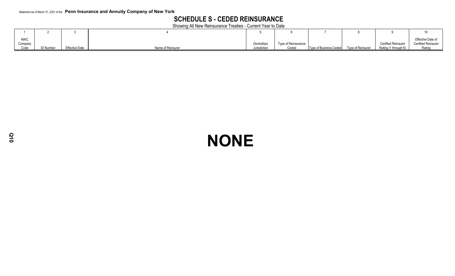## **SCHEDULE S - CEDED REINSURANCE**

Showing All New Reinsurance Treaties - Current Year to Date

| <b>NAIC</b> |          |                       |                   |              |                     |                        |                   |                      | Effective Date of   |
|-------------|----------|-----------------------|-------------------|--------------|---------------------|------------------------|-------------------|----------------------|---------------------|
| Company     |          |                       |                   | Domicilia    | Type of Reinsurance |                        |                   | Certified Reinsurer  | Certified Reinsurer |
| Code        | ) Number | <b>Effective Date</b> | Name of Reinsurer | Jurisdiction | Ceded               | Type of Business Ceded | Type of Reinsurer | Rating (1 through 6) | Rating              |

## **NONE**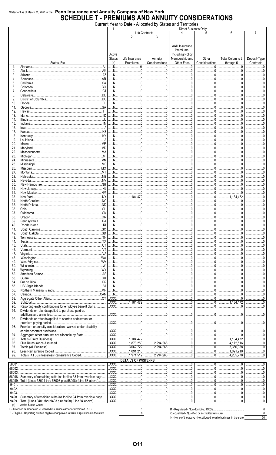## Statement as of March 31, 2021 of the Penn Insurance and Annuity Company of New York<br>SCHEDULE T - PREMIUMS AND ANNUITY CONSIDERATIONS

|            |                                                                                                                               |                                |                                    | Current Year to Date - Allocated by States and Territories |                                                                                       |                             |                              |                           |
|------------|-------------------------------------------------------------------------------------------------------------------------------|--------------------------------|------------------------------------|------------------------------------------------------------|---------------------------------------------------------------------------------------|-----------------------------|------------------------------|---------------------------|
|            |                                                                                                                               |                                |                                    | Life Contracts                                             | <b>Direct Business Only</b>                                                           |                             | 6                            |                           |
|            | States, Etc.                                                                                                                  | Active<br><b>Status</b><br>(a) | 2<br>Life Insurance<br>Premiums    | Annuity<br>Considerations                                  | A&H Insurance<br>Premiums,<br><b>Including Policy</b><br>Membership and<br>Other Fees | Other<br>Considerations     | Total Columns 2<br>through 5 | Deposit-Type<br>Contracts |
| 1.         | .AL<br>Alabama                                                                                                                | N                              | . 0                                | . . 0<br>                                                  |                                                                                       |                             | . 0                          |                           |
| 2.         | .AK<br>Alaska.                                                                                                                | N                              | - 0                                | 0                                                          | .0                                                                                    | . 0                         | . 0                          |                           |
| 3.         | .AZ<br>Arizona.                                                                                                               | N.                             |                                    |                                                            |                                                                                       |                             |                              |                           |
| 4.         | AR<br>Arkansas.<br>.CA<br>California.                                                                                         | N.<br>N                        | . 0                                |                                                            |                                                                                       | $\ldots 0$                  | 0                            |                           |
| 5.<br>6.   | .CO<br>Colorado.                                                                                                              | N                              | $.0 \,$                            | $.0 \,$                                                    |                                                                                       | $\ldots 0$                  | 0                            |                           |
| 7.         | .CT<br>Connecticut                                                                                                            | N                              | $\Omega$                           |                                                            |                                                                                       | - 0                         |                              |                           |
| 8.         | .DE<br>Delaware.                                                                                                              | N                              | . . 0                              |                                                            |                                                                                       | . 0                         | 0.5                          |                           |
| 9.         | .DC<br>District of Columbia.                                                                                                  | N                              |                                    |                                                            |                                                                                       |                             |                              |                           |
| 10.        | Florida.                                                                                                                      | N                              | $\ldots 0$                         |                                                            |                                                                                       | . 0                         | . 0                          |                           |
| 11.        | .GA<br>Georgia.                                                                                                               | N                              | $\cdot$ . 0                        |                                                            |                                                                                       | . 0                         |                              |                           |
| 12.        | Hawaii.                                                                                                                       | N                              | 0                                  | . 0                                                        | . 0                                                                                   | . 0                         | . 0                          |                           |
| 13.        | Idaho                                                                                                                         | N.                             |                                    |                                                            |                                                                                       | $\ldots$ 0                  |                              |                           |
| 14.<br>15. | Illinois.<br>IN<br>Indiana.                                                                                                   | N.<br>N.                       | 0<br>$\Omega$                      | . 0                                                        | . 0                                                                                   | . 0<br>. 0                  | . 0                          |                           |
| 16.        | lowa.                                                                                                                         | N.                             | . . 0                              | .0                                                         | . 0                                                                                   | . 0                         | .0                           |                           |
| 17.        | .KS<br>Kansas.                                                                                                                | N                              |                                    |                                                            |                                                                                       | $\overline{0}$              |                              |                           |
| 18.        | .KY<br>Kentucky                                                                                                               | N.                             | $.0 \,$                            | $.0 \,$                                                    |                                                                                       | $\ldots 0$                  | 0                            |                           |
| 19.        | LA<br>Louisiana                                                                                                               | N.                             | $\Omega$                           |                                                            |                                                                                       | $\overline{0}$              |                              |                           |
| 20.        | Maine.                                                                                                                        | N.                             | . . 0                              |                                                            |                                                                                       | $\dots 0$                   | 0.5                          |                           |
| 21.        | .MD                                                                                                                           | N                              | $\Omega$                           |                                                            |                                                                                       |                             |                              |                           |
| 22.        | AM.                                                                                                                           | N                              | $\ldots 0$                         |                                                            |                                                                                       | . 0                         | .0                           |                           |
| 23.        | MI<br>Michigan                                                                                                                | N                              | - 0                                |                                                            |                                                                                       | . 0                         |                              |                           |
| 24.        | Minnesota<br>MS                                                                                                               | N<br>N                         | . 0                                | . 0                                                        | . 0                                                                                   | . 0<br>$\ldots$ 0           | . 0                          |                           |
| 25.<br>26. | Mississippi.<br>MO.<br>Missouri                                                                                               | N                              | 0                                  | . 0                                                        | . 0                                                                                   | . 0                         | . 0                          |                           |
| 27.        | .MT<br>Montana.                                                                                                               | N                              | . . 0                              |                                                            |                                                                                       | . 0                         |                              |                           |
| 28.        | .NE                                                                                                                           | N                              | 0                                  | . 0                                                        | . 0                                                                                   | . 0                         | . 0                          |                           |
| 29.        | NV<br>Nevada.                                                                                                                 | N                              |                                    |                                                            |                                                                                       | $\overline{0}$              |                              |                           |
| 30.        | NH.<br>New Hampshire                                                                                                          | N.                             | $\ldots 0$                         | $.0 \,$                                                    |                                                                                       | $\dots 0$                   | . 0                          |                           |
| 31.        |                                                                                                                               | N                              | . . 0                              |                                                            |                                                                                       | - 0                         |                              |                           |
| 32.        | NM.                                                                                                                           | N                              | $\ldots 0$                         | 0                                                          |                                                                                       | $\ldots 0$                  | 0                            |                           |
| 33.        | .NY<br>New York.                                                                                                              | L.                             | 1.184.472                          |                                                            |                                                                                       | $\Omega$                    | 1 184 472                    |                           |
| 34.        | .NC<br>North Carolina<br>ND<br>North Dakota                                                                                   | N<br>N                         | $\ldots 0$                         |                                                            |                                                                                       | $\dots 0$<br>$\overline{0}$ |                              |                           |
| 35.<br>36. | HO.<br>Ohio.                                                                                                                  | N                              | 0                                  | . 0                                                        | . 0                                                                                   | . 0                         |                              |                           |
| 37.        | OK                                                                                                                            | N                              | . 0                                |                                                            |                                                                                       |                             |                              |                           |
| 38.        | .OR<br>Oregon.                                                                                                                | N                              | $.0 \,$                            | 0                                                          | . 0                                                                                   | 0                           | 0                            |                           |
| 39.        | Pennsylvania                                                                                                                  | N                              |                                    |                                                            |                                                                                       |                             |                              |                           |
| 40.        | Rhode Island                                                                                                                  | N.                             |                                    |                                                            |                                                                                       |                             |                              |                           |
| 41.        | .SC                                                                                                                           | N                              |                                    |                                                            |                                                                                       |                             |                              |                           |
| 42.        | .SD                                                                                                                           | N                              | $\Omega$                           |                                                            |                                                                                       |                             |                              |                           |
| 43.        | TN<br>Tennessee                                                                                                               | N                              |                                    |                                                            |                                                                                       |                             |                              |                           |
| 44.        | T X<br>Texas.<br>.UT<br>Utah.                                                                                                 | N<br>N                         | $\Omega$                           |                                                            |                                                                                       |                             | $\Omega$                     |                           |
| 45.<br>46. | .VT                                                                                                                           | N                              | 0.5                                |                                                            |                                                                                       | $\Omega$                    | .0                           |                           |
| 47.        | $$ VA                                                                                                                         | N                              |                                    |                                                            |                                                                                       |                             |                              |                           |
| 48.        | WA                                                                                                                            | N                              | $.0 \,$                            |                                                            |                                                                                       | .0                          | . 0                          |                           |
| 49.        |                                                                                                                               | N                              | $\Omega$                           |                                                            |                                                                                       |                             |                              |                           |
| 50.        | WI                                                                                                                            | N                              | 0.5                                |                                                            |                                                                                       | $\Omega$                    | $\ldots 0$                   |                           |
| 51.        | .WY                                                                                                                           | N                              |                                    |                                                            |                                                                                       |                             |                              |                           |
| 52.        | .AS                                                                                                                           | N                              | $\Omega$                           |                                                            |                                                                                       | $\Omega$                    | .0                           |                           |
| 53.        | .GU<br>.PR                                                                                                                    | N                              |                                    |                                                            |                                                                                       |                             |                              |                           |
| 54.<br>55. | Puerto Rico                                                                                                                   | N<br>N                         | $\Omega$                           |                                                            |                                                                                       |                             | $\Omega$                     |                           |
| 56.        |                                                                                                                               | N                              | 0.5                                |                                                            |                                                                                       |                             | .0                           |                           |
| 57.        |                                                                                                                               | N                              | $\Omega$                           |                                                            |                                                                                       |                             |                              |                           |
| 58.        |                                                                                                                               | .XXX.                          | 0                                  | $\Omega$                                                   | $\Omega$                                                                              | $\Omega$                    | .0                           |                           |
| 59.        |                                                                                                                               | $.$ $XXX$                      | $\frac{1}{1,184,472}$              |                                                            |                                                                                       |                             | 1.184.472                    |                           |
| 90.        | Reporting entity contributions for employee benefit plans                                                                     | .XXX.                          | $\cdot$ . 0                        | $\Omega$                                                   | $\Omega$                                                                              | $\Omega$                    | $\ldots 0$                   |                           |
| 91.        | Dividends or refunds applied to purchase paid-up                                                                              |                                |                                    |                                                            |                                                                                       |                             |                              |                           |
|            | additions and annuities<br>                                                                                                   | .XXX.                          | - 0                                |                                                            |                                                                                       |                             |                              |                           |
| 92.        | Dividends or refunds applied to shorten endowment or<br>premium paying period<br>                                             | .XXX.                          | $\Omega$                           |                                                            |                                                                                       |                             | $\Omega$                     |                           |
| 93.        | .<br>Premium or annuity considerations waived under disability                                                                |                                |                                    |                                                            |                                                                                       |                             |                              |                           |
|            |                                                                                                                               | .XXX.                          |                                    |                                                            |                                                                                       |                             |                              |                           |
| 94.        |                                                                                                                               | .XXX.                          |                                    |                                                            | $\Omega$                                                                              |                             |                              |                           |
| 95.        | Totals (Direct Business).                                                                                                     | .XXX                           | 1,184,472                          | . 0                                                        | $\Omega$                                                                              | 0                           | 1,184,472                    |                           |
| 96.        |                                                                                                                               | .XXX.                          | 1,878,250                          | .2,294,266                                                 | $\Omega$                                                                              | $\Omega$                    | .4,172,516                   |                           |
| 97.        | Totals (All Business).                                                                                                        | $.$ $XXX$                      | .3,062,722                         | .2,294,266                                                 | $\Omega$                                                                              | $\Omega$ .                  | .5,356,988                   |                           |
| 98.        |                                                                                                                               | .XXX.                          | .1,091,210                         | 0                                                          | $\Omega$                                                                              | $\Omega$                    | 1,091,210                    | 0                         |
| 99.        | Totals (All Business) less Reinsurance Ceded                                                                                  | .XXX                           | .1,971,512                         | .2,294,266                                                 |                                                                                       | $\Omega$                    | 4.265.778                    |                           |
| 58001.     |                                                                                                                               | .XXX.                          | <b>DETAILS OF WRITE-INS</b><br>. 0 |                                                            |                                                                                       |                             |                              |                           |
| 58002.     |                                                                                                                               | .XXX                           | . 0                                |                                                            |                                                                                       |                             |                              |                           |
| 58003.     |                                                                                                                               | $.$ $XXX$                      |                                    |                                                            |                                                                                       |                             |                              |                           |
|            | 58998. Summary of remaining write-ins for line 58 from overflow page                                                          | .XXX                           | . 0                                | .                                                          |                                                                                       |                             |                              |                           |
|            | 58999. Total (Lines 58001 thru 58003 plus 58998) (Line 58 above)                                                              | .XXX.                          | $\ldots 0$                         |                                                            | . 0                                                                                   | 0                           |                              |                           |
| 9401.      |                                                                                                                               | XXX                            | . 0                                |                                                            | . 0                                                                                   | . 0<br>.                    |                              |                           |
| 9402.      |                                                                                                                               | .XXX                           | 0                                  |                                                            | 0                                                                                     | 0                           |                              |                           |
| 9403.      |                                                                                                                               | $.$ $XXX$                      | . 0                                | 0                                                          | 0                                                                                     | 0                           | . 0                          |                           |
| 9499.      | 9498. Summary of remaining write-ins for line 94 from overflow page<br>Total (Lines 9401 thru 9403 plus 9498) (Line 94 above) | XXX<br>XXX.                    | $\Omega$                           | $\Omega$                                                   | $\Omega$ .                                                                            | $\ldots 0$<br>$\Omega$      |                              |                           |
| (a)        | <b>Active Status Count</b>                                                                                                    |                                |                                    |                                                            |                                                                                       |                             |                              |                           |

............

R - Registered - Non-domiciled RRGs....

 $\overline{0}$ 

 $\begin{array}{c}\n0 \\
\hline\n56\n\end{array}$ 

 $1$ 

 $\overline{\phantom{0}}$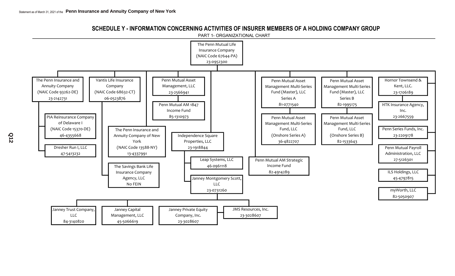SCHEDULE Y - INFORMATION CONCERNING ACTIVITIES OF INSURER MEMBERS OF A HOLDING COMPANY GROUP

PART 1- ORGANIZATIONAL CHART



**Q12**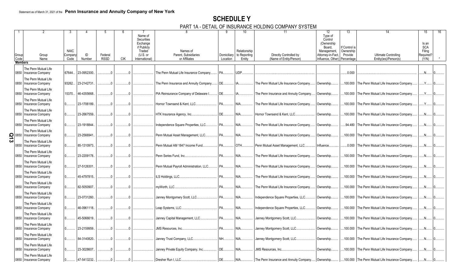## **SCHEDULE Y**

PART 1A - DETAIL OF INSURANCE HOLDING COMPANY SYSTEM

|  |                        |                                                  |                        |             | -5          |            |                                                                          |                                          |             | 10                           | 11                                      | 12                                                                             | 13                                   | 14                                               | 15                                         |
|--|------------------------|--------------------------------------------------|------------------------|-------------|-------------|------------|--------------------------------------------------------------------------|------------------------------------------|-------------|------------------------------|-----------------------------------------|--------------------------------------------------------------------------------|--------------------------------------|--------------------------------------------------|--------------------------------------------|
|  | Group                  | Group                                            | <b>NAIC</b><br>Company | ID          | Federal     |            | Name of<br>Securities<br>Exchange<br>if Publicly<br>Traded<br>$(U.S.$ or | Names of<br>Parent, Subsidiaries         | Domiciliary | Relationship<br>to Reporting | Directly Controlled by                  | Type of<br>Control<br>(Ownership<br>Board,<br>Management,<br>Attorney-in-Fact, | f Control is<br>Ownership<br>Provide | <b>Ultimate Controlling</b>                      | Is an<br><b>SCA</b><br>Filing<br>Required? |
|  | Code<br><b>Members</b> | Name                                             | Code                   | Number      | <b>RSSD</b> | <b>CIK</b> | International)                                                           | or Affiliates                            | Location    | Entity                       | (Name of Entity/Person)                 | Influence, Other) Percentage                                                   |                                      | Entity(ies)/Person(s)                            | (Y/N)                                      |
|  |                        |                                                  |                        |             |             |            |                                                                          |                                          |             |                              |                                         |                                                                                |                                      |                                                  |                                            |
|  | 0850                   | The Penn Mutual Life<br><b>Insurance Company</b> | 67644                  | 23-0952300. |             |            |                                                                          | The Penn Mutual Life Insurance Company.  | PA.         | UDP.                         |                                         |                                                                                | .0.000                               |                                                  | N                                          |
|  | 0850                   | The Penn Mutual Life<br>Insurance Company        | 93262                  | 23-2142731  |             |            |                                                                          | The Penn Insurance and Annuity Company   | DE.         |                              | The Penn Mutual Life Insurance Company. | Ownership.                                                                     |                                      | 100.000 The Penn Mutual Life Insurance Company   | Y                                          |
|  | 0850                   | The Penn Mutual Life<br><b>Insurance Company</b> | 15370                  | 46-4355668. | $\Omega$    |            |                                                                          | PIA Reinsurance Company of Delaware I.   | DE.         |                              | The Penn Insurance and Annuity Company  | Ownership.                                                                     |                                      | .100.000 The Penn Mutual Life Insurance Company. | .Y.                                        |
|  | 0850                   | The Penn Mutual Life<br><b>Insurance Company</b> |                        | 23-1706189. |             |            |                                                                          | Hornor Townsend & Kent, LLC.             | PA          | NIA                          | The Penn Mutual Life Insurance Company. | Ownership.                                                                     |                                      | 100.000 The Penn Mutual Life Insurance Company   |                                            |
|  | 0850                   | The Penn Mutual Life<br><b>Insurance Company</b> |                        | 23-2667559. |             |            |                                                                          | HTK Insurance Agency, Inc.               | DF.         | NIA.                         | Hornor Townsend & Kent, LLC.            | Ownership.                                                                     |                                      | .100.000 The Penn Mutual Life Insurance Company  | $N$ .                                      |
|  | 0850                   | The Penn Mutual Life<br>Insurance Company        |                        | 23-1918844. |             |            |                                                                          | Independence Square Properties, LLC.     | <b>PA</b>   | NIA                          | The Penn Mutual Life Insurance Company. | Ownership.                                                                     |                                      | .94.480 The Penn Mutual Life Insurance Company.  | $N$ .                                      |
|  | $\frac{5}{2}$ 0850     | The Penn Mutual Life<br>Insurance Company        |                        | 23-2566941. |             |            |                                                                          | Penn Mutual Asset Management, LLC.       | PA          | NIA.                         | The Penn Mutual Life Insurance Company. | Ownership.                                                                     |                                      | .100.000 The Penn Mutual Life Insurance Company  | N                                          |
|  | 0850                   | The Penn Mutual Life<br>Insurance Company        |                        | 85-1310973. |             |            |                                                                          | Penn Mutual AM 1847 Income Fund          | PA.         | OTH.                         | Penn Mutual Asset Management, LLC.      | Influence.                                                                     |                                      | 0.000 The Penn Mutual Life Insurance Company     | .N.                                        |
|  | 0850                   | The Penn Mutual Life<br>Insurance Company        |                        | 23-2209178. |             |            |                                                                          | Penn Series Fund. Inc.                   | PA.         | NIA                          | The Penn Mutual Life Insurance Company. | Ownership.                                                                     |                                      | .100.000 The Penn Mutual Life Insurance Company. | N <sub>1</sub>                             |
|  | 0850                   | The Penn Mutual Life<br><b>Insurance Company</b> |                        | 27-5126301. |             |            |                                                                          | Penn Mutual Payroll Administration, LLC. | PA.         | NIA.                         | The Penn Mutual Life Insurance Company. | Ownership.                                                                     |                                      | .100.000 The Penn Mutual Life Insurance Company  | N                                          |
|  |                        | The Penn Mutual Life<br>0850   Insurance Company |                        | 45-4797815. |             |            |                                                                          | ILS Holdings, LLC.                       | PA.         | NIA.                         | The Penn Mutual Life Insurance Company. | Ownership.                                                                     |                                      | 100.000 The Penn Mutual Life Insurance Company   | .N.                                        |
|  | 0850                   | The Penn Mutual Life<br><b>Insurance Company</b> |                        | 82-5050907. |             |            |                                                                          | myWorth, LLC.                            | PA.         | NIA                          | The Penn Mutual Life Insurance Company. | Ownership.                                                                     |                                      | .100.000 The Penn Mutual Life Insurance Company. | N <sub>1</sub>                             |
|  | 0850                   | The Penn Mutual Life<br>Insurance Company        |                        | 23-0731260. |             |            |                                                                          | Janney Montgomery Scott, LLC.            | PA.         | NIA                          | Independence Square Properties, LLC     | Ownership.                                                                     |                                      | 100.000 The Penn Mutual Life Insurance Company   |                                            |
|  | 0850                   | The Penn Mutual Life<br><b>Insurance Company</b> |                        | 46-0961118. |             |            |                                                                          | Leap Systems, LLC.                       | PA.         | NIA                          | Independence Square Properties, LLC     | Ownership.                                                                     |                                      | 100.000 The Penn Mutual Life Insurance Company   | $N$ .                                      |
|  | 0850                   | The Penn Mutual Life<br>Insurance Company        |                        | 45-5066619. |             |            |                                                                          | Janney Capital Management, LLC.          | PA.         | NIA                          | Janney Montgomery Scott, LLC.           | Ownership.                                                                     |                                      | 100.000 The Penn Mutual Life Insurance Company.  | $N_{\cdot}$                                |
|  | 0850                   | The Penn Mutual Life<br>Insurance Company        |                        | 23-2159959. |             |            |                                                                          | <b>JMS Resources, Inc.</b>               | PA.         | NIA                          | Janney Montgomery Scott, LLC.           | Ownership.                                                                     |                                      | .100.000 The Penn Mutual Life Insurance Company  |                                            |
|  | 0850                   | The Penn Mutual Life<br>Insurance Company        |                        | 84-3140820. |             |            |                                                                          | Janney Trust Company, LLC.               | NH.         | NIA.                         | Janney Montgomery Scott, LLC            | Ownership.                                                                     |                                      | 100.000 The Penn Mutual Life Insurance Company   | $N$ .                                      |
|  | 0850                   | The Penn Mutual Life<br><b>Insurance Company</b> |                        | 23-3028607. |             |            |                                                                          | Janney Private Equity Company, Inc.      | DE.         | NIA                          | <b>JMS Resources. Inc</b>               | Ownership.                                                                     |                                      | .100.000 The Penn Mutual Life Insurance Company. | N <sub>1</sub>                             |
|  |                        | The Penn Mutual Life<br>0850 Insurance Company   |                        | 47-5413232. |             |            |                                                                          | Dresher Run I, LLC.                      | DE.         | NIA.                         | The Penn Insurance and Annuity Company  | Ownership.                                                                     |                                      | .100.000 The Penn Mutual Life Insurance Company  | N                                          |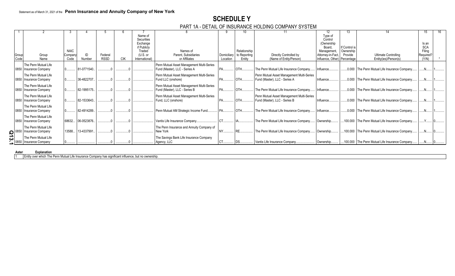## **SCHEDULE Y**

### PART 1A - DETAIL OF INSURANCE HOLDING COMPANY SYSTEM

|             |                          |             |             |             |            | Name of                |                                           |          |                          |                                           | Type of                      |               |                                                  |            |  |
|-------------|--------------------------|-------------|-------------|-------------|------------|------------------------|-------------------------------------------|----------|--------------------------|-------------------------------------------|------------------------------|---------------|--------------------------------------------------|------------|--|
|             |                          |             |             |             |            | Securities<br>Exchange |                                           |          |                          |                                           | Control<br>(Ownership)       |               |                                                  | Is an      |  |
|             |                          |             |             |             |            | if Publicly            |                                           |          |                          |                                           | Board.                       | If Control is |                                                  | <b>SCA</b> |  |
|             |                          | <b>NAIC</b> |             |             |            | Traded                 | Names of                                  |          | Relationship             |                                           | Management                   | Ownership     |                                                  | Filing     |  |
| Group       | Group                    | Company     | ID          | Federal     |            | $(U.S.$ or             | Parent, Subsidiaries                      |          | Domiciliary to Reporting | Directly Controlled by                    | Attorney-in-Fact,            | Provide       | <b>Ultimate Controlling</b>                      | Required?  |  |
| Code        | Name                     | Code        | Number      | <b>RSSD</b> | <b>CIK</b> | International)         | or Affiliates                             | Location | Entity                   | (Name of Entity/Person)                   | Influence, Other) Percentage |               | Entity(ies)/Person(s)                            | (Y/N)      |  |
|             | The Penn Mutual Life     |             |             |             |            |                        | Penn Mutual Asset Management Multi-Series |          |                          |                                           |                              |               |                                                  |            |  |
|             | 0850   Insurance Company |             | 81-0771540. |             |            |                        | Fund (Master), LLC - Series A             | IPA.     | OTH.                     | The Penn Mutual Life Insurance Company    | Influence.                   |               | 0.000 The Penn Mutual Life Insurance Company.    |            |  |
|             | The Penn Mutual Life     |             |             |             |            |                        | Penn Mutual Asset Management Multi-Series |          |                          | Penn Mutual Asset Management Multi-Series |                              |               |                                                  |            |  |
|             | 0850   Insurance Company |             | 36-4822707. |             |            |                        | Fund LLC (onshore)                        |          | OTH.                     | Fund (Master), LLC - Series A             | Influence                    |               | .0.000 The Penn Mutual Life Insurance Company.   |            |  |
|             | The Penn Mutual Life     |             |             |             |            |                        | Penn Mutual Asset Management Multi-Series |          |                          |                                           |                              |               |                                                  |            |  |
|             | 0850   Insurance Company |             | 82-1995175. |             |            |                        | Fund (Master), LLC - Series B             |          |                          | The Penn Mutual Life Insurance Company    | Influence.                   |               | 0.000 The Penn Mutual Life Insurance Company.    |            |  |
|             | The Penn Mutual Life     |             |             |             |            |                        | Penn Mutual Asset Management Multi-Series |          |                          | Penn Mutual Asset Management Multi-Series |                              |               |                                                  |            |  |
|             | 0850 Insurance Company   |             | 82-1533643. |             |            |                        | Fund, LLC (onshore)                       |          |                          | Fund (Master), LLC - Series B             | Influence                    |               | .0.000 The Penn Mutual Life Insurance Company.   |            |  |
|             | The Penn Mutual Life     |             |             |             |            |                        |                                           |          |                          |                                           |                              |               |                                                  |            |  |
|             | 0850   Insurance Company |             | 82-4914289. |             |            |                        | Penn Mutual AM Strategic Income Fund.     |          |                          | The Penn Mutual Life Insurance Company    | Influence                    |               | .0.000 The Penn Mutual Life Insurance Company.   |            |  |
|             |                          |             |             |             |            |                        |                                           |          |                          |                                           |                              |               |                                                  |            |  |
|             | The Penn Mutual Life     |             |             |             |            |                        |                                           |          |                          |                                           |                              |               |                                                  |            |  |
|             | 0850   Insurance Company | 68632       | 06-0523876. |             |            |                        | Vantis Life Insurance Company.            |          |                          | The Penn Mutual Life Insurance Company    | Ownership                    |               | 100.000 The Penn Mutual Life Insurance Company.  |            |  |
|             | The Penn Mutual Life     |             |             |             |            |                        | The Penn Insurance and Annuity Company of |          |                          |                                           |                              |               |                                                  |            |  |
| $\log$ 0850 | Insurance Company        | 13588       | 13-4337991  |             |            |                        | New York                                  |          |                          | The Penn Mutual Life Insurance Company    | Ownership                    |               | 100.000 The Penn Mutual Life Insurance Company.  |            |  |
| ယ           | The Penn Mutual Life     |             |             |             |            |                        | The Savings Bank Life Insurance Company   |          |                          |                                           |                              |               |                                                  |            |  |
|             | 0850   Insurance Company |             |             |             |            |                        | Agency, LLC                               |          |                          | Vantis Life Insurance Company             | Ownership.                   |               | .100.000 The Penn Mutual Life Insurance Company. |            |  |

#### **Asteri Explanation**

1 Entity over which The Penn Mutual Life Insurance Company has significant influence, but no ownership.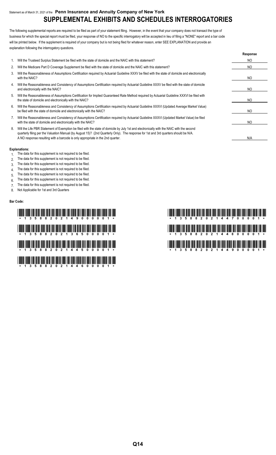## Statement as of March 31, 2021 of the **Penn Insurance and Annuity Company of New York SUPPLEMENTAL EXHIBITS AND SCHEDULES INTERROGATORIES**

The following supplemental reports are required to be filed as part of your statement filing. However, in the event that your company does not transact the type of business for which the special report must be filed, your response of NO to the specific interrogatory will be accepted in lieu of filing a "NONE" report and a bar code will be printed below. If the supplement is required of your company but is not being filed for whatever reason, enter SEE EXPLANATION and provide an explanation following the interrogatory questions.

|    |                                                                                                                                                                                                                                                                                                                                                                     | Response |
|----|---------------------------------------------------------------------------------------------------------------------------------------------------------------------------------------------------------------------------------------------------------------------------------------------------------------------------------------------------------------------|----------|
|    | Will the Trusteed Surplus Statement be filed with the state of domicile and the NAIC with this statement?                                                                                                                                                                                                                                                           | NO       |
| 2. | Will the Medicare Part D Coverage Supplement be filed with the state of domicile and the NAIC with this statement?                                                                                                                                                                                                                                                  | NO.      |
| 3. | Will the Reasonableness of Assumptions Certification required by Actuarial Guideline XXXV be filed with the state of domicile and electronically<br>with the NAIC?                                                                                                                                                                                                  | NO.      |
| 4. | Will the Reasonableness and Consistency of Assumptions Certification required by Actuarial Guideline XXXV be filed with the state of domicile<br>and electronically with the NAIC?                                                                                                                                                                                  | NO       |
| 5. | Will the Reasonableness of Assumptions Certification for Implied Guaranteed Rate Method required by Actuarial Guideline XXXVI be filed with<br>the state of domicile and electronically with the NAIC?                                                                                                                                                              | NO       |
| 6. | Will the Reasonableness and Consistency of Assumptions Certification required by Actuarial Guideline XXXVI (Updated Average Market Value)<br>be filed with the state of domicile and electronically with the NAIC?                                                                                                                                                  | NO.      |
| 7. | Will the Reasonableness and Consistency of Assumptions Certification required by Actuarial Guideline XXXVI (Updated Market Value) be filed<br>with the state of domicile and electronically with the NAIC?                                                                                                                                                          | NO       |
| 8. | Will the Life PBR Statement of Exemption be filed with the state of domicile by July 1st and electronically with the NAIC with the second<br>quarterly filing per the Valuation Manual (by August 15)? (2nd Quarterly Only). The response for 1st and 3rd quarters should be N/A.<br>A NO response resulting with a barcode is only appropriate in the 2nd quarter. | N/A      |

#### **Explanations:**

- 1. The data for this supplement is not required to be filed.
- 2. The data for this supplement is not required to be filed.
- 3. The data for this supplement is not required to be filed.
- 4. The data for this supplement is not required to be filed.
- 5. The data for this supplement is not required to be filed.
- 6. The data for this supplement is not required to be filed.
- 7. The data for this supplement is not required to be filed.
- 8. Not Applicable for 1st and 3rd Quarters

#### **Bar Code:**

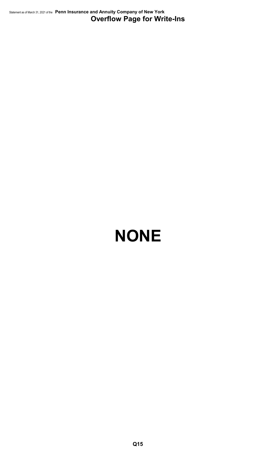Statement as of March 31, 2021 of the **Penn Insurance and Annuity Company of New York Overflow Page for Write-Ins**

# **NONE**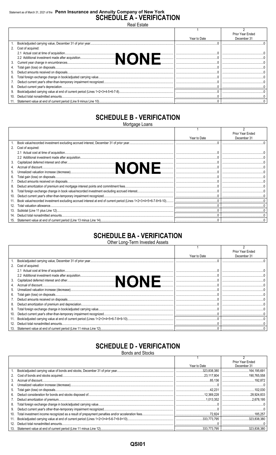## Statement as of March 31, 2021 of the Penn Insurance and Annuity Company of New York<br>SCHEDULE A - VERIFICATION Real Estate

|     |                      |              | Prior Year Ended |
|-----|----------------------|--------------|------------------|
|     |                      | Year to Date | December 31      |
|     |                      |              |                  |
|     | 2. Cost of acquired: |              |                  |
|     |                      |              |                  |
|     |                      |              |                  |
|     |                      |              |                  |
|     |                      |              |                  |
|     |                      |              |                  |
| 6.  |                      |              |                  |
|     |                      |              |                  |
|     |                      |              |                  |
| 9.  |                      |              |                  |
| 10. |                      |              |                  |
|     |                      |              |                  |

## **SCHEDULE B - VERIFICATION**

Mortgage Loans

|     |                                                                                                                 |              | Prior Year Ended |
|-----|-----------------------------------------------------------------------------------------------------------------|--------------|------------------|
|     |                                                                                                                 | Year to Date | December 31      |
|     |                                                                                                                 |              |                  |
|     | 2. Cost of acquired:                                                                                            |              |                  |
|     |                                                                                                                 |              |                  |
|     |                                                                                                                 |              |                  |
| 3.  |                                                                                                                 |              |                  |
|     |                                                                                                                 |              |                  |
| 5.  |                                                                                                                 |              |                  |
| 6.  |                                                                                                                 |              |                  |
|     |                                                                                                                 |              |                  |
| 8.  |                                                                                                                 |              |                  |
| 9.  |                                                                                                                 |              |                  |
| 10. |                                                                                                                 |              |                  |
| 11. | Book value/recorded investment excluding accrued interest at end of current period (Lines 1+2+3+4+5+6-7-8+9-10) |              |                  |
| 12. | Total valuation allowance                                                                                       |              |                  |
| 13. |                                                                                                                 |              |                  |
|     |                                                                                                                 |              |                  |
|     |                                                                                                                 |              |                  |

## **SCHEDULE BA - VERIFICATION**

Other Long-Term Invested Assets

|     |                   |              | Prior Year Ended |
|-----|-------------------|--------------|------------------|
|     |                   | Year to Date | December 31      |
|     |                   |              |                  |
| 2.  | Cost of acquired: |              |                  |
|     |                   |              |                  |
|     | 1.                |              |                  |
| 3.  | .                 |              |                  |
| 4.  |                   |              |                  |
| 5.  |                   |              |                  |
| 6.  |                   |              |                  |
|     |                   |              |                  |
| 8.  |                   |              |                  |
| 9.  |                   |              |                  |
| 10. |                   |              |                  |
| 11. |                   |              |                  |
| 12. |                   |              |                  |
| 13. |                   |              |                  |

## **SCHEDULE D - VERIFICATION**

**Bonds and Stocks** 

|     |              | <b>Prior Year Ended</b> |
|-----|--------------|-------------------------|
|     | Year to Date | December 31             |
|     |              |                         |
| 2.  |              |                         |
| 3.  |              |                         |
| 4.  |              |                         |
| 5.  |              |                         |
| 6.  |              |                         |
| 7.  |              |                         |
| 8.  |              |                         |
| 9.  |              |                         |
| 10. |              |                         |
| 11. |              |                         |
| 12. |              |                         |
|     |              |                         |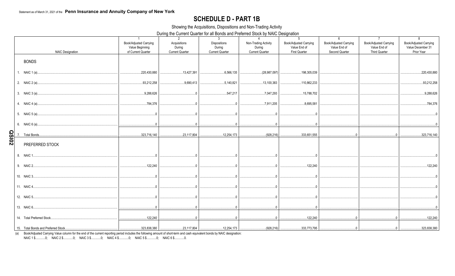## **SCHEDULE D - PART 1B**

Showing the Acquisitions, Dispositions and Non-Trading Activity

During the Current Quarter for all Bonds and Preferred Stock by NAIC Designation

|              | <b>NAIC Designation</b> | $\overline{1}$<br><b>Book/Adjusted Carrying</b><br>Value Beginning<br>of Current Quarter | 2<br>Acquisitions<br>During<br><b>Current Quarter</b> | $\mathbf{3}$<br><b>Dispositions</b><br>During<br><b>Current Quarter</b> | $\mathbf{\Lambda}$<br>Non-Trading Activity<br>During<br><b>Current Quarter</b> | 5<br><b>Book/Adjusted Carrying</b><br>Value End of<br><b>First Quarter</b> | 6<br><b>Book/Adjusted Carrying</b><br>Value End of<br>Second Quarter | $\overline{7}$<br>Book/Adjusted Carrying<br>Value End of<br><b>Third Quarter</b> | 8<br><b>Book/Adjusted Carrying</b><br>Value December 31<br>Prior Year |
|--------------|-------------------------|------------------------------------------------------------------------------------------|-------------------------------------------------------|-------------------------------------------------------------------------|--------------------------------------------------------------------------------|----------------------------------------------------------------------------|----------------------------------------------------------------------|----------------------------------------------------------------------------------|-----------------------------------------------------------------------|
|              | <b>BONDS</b>            |                                                                                          |                                                       |                                                                         |                                                                                |                                                                            |                                                                      |                                                                                  |                                                                       |
|              |                         | 220,430,880                                                                              | 13,427,391                                            |                                                                         | (28.987.097)<br>.                                                              | 198,305,039                                                                |                                                                      |                                                                                  | 220,430,880                                                           |
|              |                         | 93,212,258                                                                               | 9,690,413                                             |                                                                         | 13,100,383                                                                     | 110,862,233                                                                |                                                                      |                                                                                  | 93,212,258                                                            |
|              |                         | 9,288,626                                                                                |                                                       | 547,217                                                                 |                                                                                | 15,788,702                                                                 |                                                                      |                                                                                  | 9,288,626                                                             |
|              |                         |                                                                                          |                                                       |                                                                         |                                                                                | 8,695,581                                                                  |                                                                      |                                                                                  | 784,376                                                               |
|              |                         |                                                                                          |                                                       |                                                                         |                                                                                |                                                                            |                                                                      |                                                                                  |                                                                       |
|              |                         |                                                                                          |                                                       |                                                                         |                                                                                |                                                                            |                                                                      |                                                                                  |                                                                       |
| <b>QSI02</b> |                         |                                                                                          |                                                       |                                                                         |                                                                                | (928.216)   333.651.555   .                                                |                                                                      |                                                                                  | 323,716,140                                                           |
|              | PREFERRED STOCK         |                                                                                          |                                                       |                                                                         |                                                                                |                                                                            |                                                                      |                                                                                  |                                                                       |
|              |                         |                                                                                          | $\overline{0}$                                        | $\Omega$                                                                | $\overline{0}$                                                                 |                                                                            |                                                                      |                                                                                  |                                                                       |
|              |                         | 122,240                                                                                  |                                                       | $\begin{array}{ccc} 0 & 0 & 0 \end{array}$                              |                                                                                | .122.240                                                                   |                                                                      |                                                                                  | .122,240                                                              |
|              |                         |                                                                                          | $\overline{0}$                                        | $\sim$ 0                                                                | $\overline{0}$                                                                 |                                                                            |                                                                      |                                                                                  |                                                                       |
|              |                         |                                                                                          |                                                       |                                                                         |                                                                                |                                                                            |                                                                      |                                                                                  |                                                                       |
|              |                         |                                                                                          |                                                       |                                                                         |                                                                                |                                                                            |                                                                      |                                                                                  |                                                                       |
|              |                         |                                                                                          |                                                       |                                                                         |                                                                                |                                                                            |                                                                      |                                                                                  |                                                                       |
|              |                         |                                                                                          |                                                       |                                                                         |                                                                                |                                                                            |                                                                      |                                                                                  | .122.240                                                              |
|              |                         |                                                                                          |                                                       |                                                                         |                                                                                |                                                                            |                                                                      |                                                                                  |                                                                       |

(a) Book/Adjusted Carrying Value column for the end of the current reporting period includes the following amount of short-term and cash equivalent bonds by NAIC designation:<br>NAIC 1 \$...........0; NAIC 2 \$............0; NA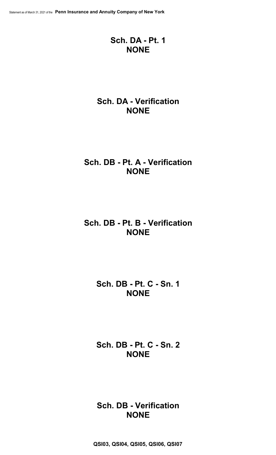## **Sch. DA - Pt. 1 NONE**

## **Sch. DA - Verification NONE**

## **Sch. DB - Pt. A - Verification NONE**

## **Sch. DB - Pt. B - Verification NONE**

## **Sch. DB - Pt. C - Sn. 1 NONE**

## **Sch. DB - Pt. C - Sn. 2 NONE**

## **Sch. DB - Verification NONE**

**QSI03, QSI04, QSI05, QSI06, QSI07**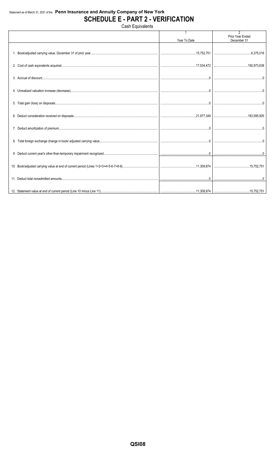## Statement as of March 31, 2021 of the Penn Insurance and Annuity Company of New York **SCHEDULE E - PART 2 - VERIFICATION**

Cash Equivalents

|                                                                                                                                                                                                                                                                                                                                                                                                                                                                 | Year To Date | $\overline{2}$<br><b>Prior Year Ended</b><br>December 31 |
|-----------------------------------------------------------------------------------------------------------------------------------------------------------------------------------------------------------------------------------------------------------------------------------------------------------------------------------------------------------------------------------------------------------------------------------------------------------------|--------------|----------------------------------------------------------|
|                                                                                                                                                                                                                                                                                                                                                                                                                                                                 |              |                                                          |
|                                                                                                                                                                                                                                                                                                                                                                                                                                                                 |              |                                                          |
|                                                                                                                                                                                                                                                                                                                                                                                                                                                                 |              |                                                          |
|                                                                                                                                                                                                                                                                                                                                                                                                                                                                 |              |                                                          |
|                                                                                                                                                                                                                                                                                                                                                                                                                                                                 |              |                                                          |
|                                                                                                                                                                                                                                                                                                                                                                                                                                                                 |              |                                                          |
|                                                                                                                                                                                                                                                                                                                                                                                                                                                                 |              |                                                          |
|                                                                                                                                                                                                                                                                                                                                                                                                                                                                 |              |                                                          |
|                                                                                                                                                                                                                                                                                                                                                                                                                                                                 |              |                                                          |
|                                                                                                                                                                                                                                                                                                                                                                                                                                                                 |              |                                                          |
|                                                                                                                                                                                                                                                                                                                                                                                                                                                                 |              |                                                          |
| $\textbf{11. Deduct total nonadmitted amounts.}\textcolor{red}{\textbf{12.10}}\textcolor{red}{\textbf{13.10}}\textcolor{red}{\textbf{14.10}}\textcolor{red}{\textbf{15.10}}\textcolor{red}{\textbf{16.10}}\textcolor{red}{\textbf{17.10}}\textcolor{red}{\textbf{18.10}}\textcolor{red}{\textbf{19.10}}\textcolor{red}{\textbf{19.10}}\textcolor{red}{\textbf{19.10}}\textcolor{red}{\textbf{19.10}}\textcolor{red}{\textbf{19.10}}\textcolor{red}{\textbf{19.$ |              |                                                          |
|                                                                                                                                                                                                                                                                                                                                                                                                                                                                 |              |                                                          |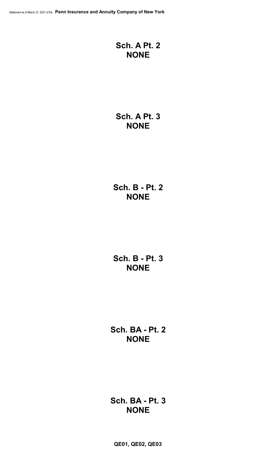## **Sch. A Pt. 2 NONE**

## **Sch. A Pt. 3 NONE**

**Sch. B - Pt. 2 NONE**

**Sch. B - Pt. 3 NONE**

**Sch. BA - Pt. 2 NONE**

**Sch. BA - Pt. 3 NONE**

**QE01, QE02, QE03**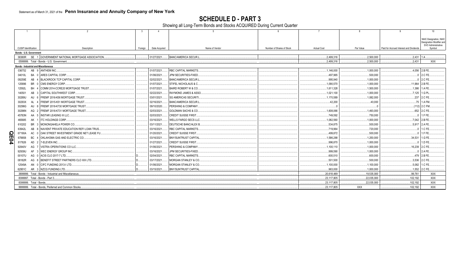**SCHEDULE D - PART 3**<br>Showing all Long-Term Bonds and Stocks ACQUIRED During Current Quarter

|   |                         |                                                           |         |               | $5 -$                           | 6                         |                    |                           |                                         | 10                           |
|---|-------------------------|-----------------------------------------------------------|---------|---------------|---------------------------------|---------------------------|--------------------|---------------------------|-----------------------------------------|------------------------------|
|   |                         |                                                           |         |               |                                 |                           |                    |                           |                                         | NAIC Designation, NAIC       |
|   |                         |                                                           |         |               |                                 |                           |                    |                           |                                         | Designation Modifier and     |
|   | CUSIP Identification    | Description                                               | Foreian | Date Acquired | Name of Vendor                  | Number of Shares of Stock | <b>Actual Cost</b> | Par Value                 | Paid for Accrued Interest and Dividends | SVO Administrative<br>Symbol |
|   | Bonds - U.S. Government |                                                           |         |               |                                 |                           |                    |                           |                                         |                              |
|   | 38380R                  | SE 1 GOVERNMENT NATIONAL MORTGAGE ASSOCIATION             |         | 01/27/2021    | BANC/AMERICA SECUR.             |                           | 2,499,316          | 0.2,500,000               | $.2,431$ 1.A                            |                              |
|   |                         | 0599999. Total - Bonds - U.S. Government                  |         |               |                                 |                           | 2,499,316          | 0.2,500,000               | .2,431                                  | <b>XXX</b>                   |
|   |                         | <b>Bonds - Industrial and Miscellaneous</b>               |         |               |                                 |                           |                    |                           |                                         |                              |
|   | 036752                  | AB 9 ANTHEM INC.                                          |         | 01/07/2021    | <b>RBC CAPITAL MARKETS</b>      |                           | .1,146,000         | 1,000,000                 |                                         | 4.056 2.B FE.                |
|   | 04010L                  | 0 ARES CAPITAL CORP.<br>BA                                |         | 01/06/2021    | JPM SECURITIES-FIXED            |                           | .497,965           | .500,000                  |                                         | .0 2.C FE                    |
|   | 09259E                  | AB<br>4 BLACKROCK TCP CAPITAL CORP                        |         | 02/02/2021    | <b>BANC/AMERICA SECUR.I</b>     |                           | 995,940            | .1,000,000                |                                         | $0$ 2.C FE                   |
|   | 125896                  | BR 0 CMS ENERGY CORP.                                     |         | 01/07/2021    | STIFEL NICHOLAUS & C            |                           | .1,090,570         | .1,000,000                |                                         | .11.964 2.B FE.              |
|   | 12592L                  | <b>BH</b><br>4 COMM 2014-CCRE20 MORTGAGE TRUST            |         | 01/07/2021    | <b>BAIRD ROBERT W &amp; CO</b>  |                           | 1.611.328          | .1,500,000                |                                         | .1.386 1.A FE.               |
|   | 140501                  | AB 3 CAPITAL SOUTHWEST CORP.                              |         | 02/22/2021    | <b>RAYMOND JAMES &amp; ASSO</b> |                           | 1.021.100          | 1.000.000                 |                                         | 7,125 1.G PL                 |
|   | 30289U                  | AU 6   FREMF 2016-K56 MORTGAGE TRUST                      |         | 03/01/2021    | <b>SG AMERICAS SECURITI</b>     |                           | .1,170,589         | .1,082,000                |                                         | 237 2.C FE                   |
|   | 30293X                  | FREMF 2015-K51 MORTGAGE TRUST<br>AL                       |         | 02/16/2021    | <b>BANC/AMERICA SECUR.I</b>     |                           | .42,200            | .40,000                   |                                         | .75 1.A FM.                  |
|   | 30296G                  | 8 FREMF 2018-K730 MORTGAGE TRUST<br>AU                    |         | 09/10/2020    | PERSHING & COMPANY              |                           |                    |                           |                                         | .(112) 2.C FM                |
|   | 30296N                  | 2 FREMF 2018-K731 MORTGAGE TRUST<br>AQ                    |         | 02/03/2021    | <b>GOLDMAN SACHS &amp; CO</b>   |                           | .1,608,066         | 1,493,000                 |                                         | .652 2.C FE                  |
|   | 45783N                  | 5 INSTAR LEASING III LLC.<br>AA                           |         | 02/03/2021    | <b>CREDIT SUISSE FIRST</b>      |                           | 749,592            | .750,000                  |                                         | 1.F FE.                      |
|   | 465685                  | <b>ITC HOLDINGS CORP.</b><br>AK                           |         | 03/16/2021    | <b>WELLS FARGO SECS LLC</b>     |                           | .1,082,560         | 1,000,000                 |                                         | 7,042 2.B FE                 |
|   | 610202                  | <b>BR</b><br>3 MONONGAHELA POWER CO.                      |         | 03/11/2021    | DEUTSCHE BANC/ALEX B.           |                           | 534,875            | .500,000                  |                                         | 5.917 2.A FE                 |
|   | 63942L                  | NAVIENT PRIVATE EDUCATION REFILOAN TRUS.<br>AB            |         | 03/16/2021    | <b>RBC CAPITAL MARKETS</b>      |                           | 719.964            | 720,000                   |                                         | 1.C FE                       |
| O | 67190A                  | 0 OAK STREET INVESTMENT GRADE NET LEASE FU<br>AC.         |         | 01/20/2021    | <b>CREDIT SUISSE FIRST</b>      |                           | 499.872            | 500.000                   |                                         | $1$ F FF                     |
| m | 678858                  | BC 4 OKLAHOMA GAS AND ELECTRIC CO.                        |         | 03/16/2021    | <b>BNY/SUNTRUST CAPITAL</b>     |                           | .1,586,288         | .1,250,000                |                                         | .34,531 1.G FE.              |
| 5 | 817826                  | AD 2 7-ELEVEN INC.                                        |         | 01/27/2021    | <b>CREDIT SUISSE FIRST</b>      |                           | .996.870           | .1,000,000                |                                         | 1DFF                         |
|   | 92840V                  | 7 VISTRA OPERATIONS CO LLC<br>AG                          |         | 01/06/2021.   | PERSHING & COMPANY              |                           | .1,100,110         | .1,000,000                |                                         | 16,239 2.C FE                |
|   | 92939U                  | 3 WEC ENERGY GROUP INC<br>AF                              |         | 03/16/2021    | JPM SECURITIES-FIXED            |                           | .999.590           | .1,000,000                |                                         | $.0$ 2.A FE.                 |
|   | 00107U                  | 0 ACIS CLO 2017-7 LTD.<br>AG                              |         | 02/04/2021    | <b>RBC CAPITAL MARKETS.</b>     |                           | 600,510            | 600,000                   |                                         | .479 2.B FE.                 |
|   | 08182R                  | 8 BENEFIT STREET PARTNERS CLO XIX LTD.<br>AG              |         | 03/17/2021    | <b>MORGAN STANLEY &amp; CO</b>  |                           | 501,500            | 500.000                   |                                         | 3.536 2.C FE                 |
|   | 12549A                  | AN 0 CIFC FUNDING 2013-I LTD                              |         | 01/06/2021    | MORGAN STANLEY & CO             |                           | .1,100,000         | 1,100,000                 |                                         | 5.082 1.C FE                 |
|   | 62951C                  | AR 3 NZCG FUNDING LTD.                                    |         | 03/15/2021    | <b>BNY/SUNTRUST CAPITAL</b>     |                           | .963.000           | .1.000.000                |                                         | 1,552 2.C FE.                |
|   |                         | 3899999. Total - Bonds - Industrial and Miscellaneous.    |         |               |                                 |                           | 20.618.489         | .19.535.000               | .99.761                                 | XXX                          |
|   |                         | 8399997. Total - Bonds - Part 3<br>8399999. Total - Bonds |         |               |                                 |                           | 23,117,805         | 22,035,000<br>.22,035,000 | .102,192<br>.102.192                    | <b>XXX</b><br><b>XXX</b>     |
|   |                         |                                                           |         |               |                                 |                           | 23,117,805         |                           |                                         |                              |
|   |                         | 9999999. Total - Bonds, Preferred and Common Stocks       |         |               |                                 |                           | 23,117,805         | <b>XXX</b>                | 102,192                                 | <b>XXX</b>                   |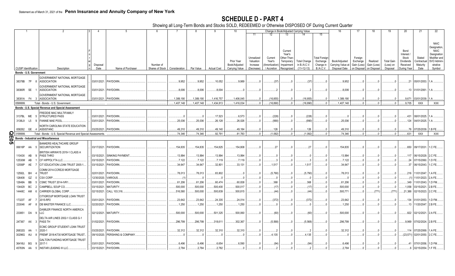SCHEDULE D - PART 4<br>Showing all Long-Term Bonds and Stocks SOLD, REDEEMED or Otherwise DISPOSED OF During Current Quarter

|             |                             |           |                                                              |             |                        |                 |               |           |                    | 10             |            |              |                       | Change in Book/Adjusted Carrying Value |                      |                           | 17          |             | 19                | 20                | 21                         | 22                          |
|-------------|-----------------------------|-----------|--------------------------------------------------------------|-------------|------------------------|-----------------|---------------|-----------|--------------------|----------------|------------|--------------|-----------------------|----------------------------------------|----------------------|---------------------------|-------------|-------------|-------------------|-------------------|----------------------------|-----------------------------|
|             |                             |           |                                                              |             |                        |                 |               |           |                    |                | 11         | 12           | 13                    | 14                                     | 15                   |                           |             |             |                   |                   |                            |                             |
|             |                             |           |                                                              |             |                        |                 |               |           |                    |                |            |              |                       |                                        |                      |                           |             |             |                   |                   |                            |                             |
|             |                             |           |                                                              |             |                        |                 |               |           |                    |                |            |              |                       |                                        |                      |                           |             |             |                   |                   |                            | <b>NAIC</b>                 |
|             |                             |           |                                                              |             |                        |                 |               |           |                    |                |            |              |                       |                                        |                      |                           |             |             |                   |                   |                            | Designation                 |
|             |                             |           |                                                              |             |                        |                 |               |           |                    |                |            |              | Current               |                                        |                      |                           |             |             |                   | Bond              |                            | <b>NAIC</b>                 |
|             |                             |           |                                                              |             |                        |                 |               |           |                    |                | Unrealized | Current      | Year's<br>Other-Than- |                                        | <b>Total Foreign</b> |                           | Foreign     |             |                   | Interest<br>Stock | Stated                     | Designation<br>Modifier and |
|             |                             |           |                                                              |             |                        |                 |               |           |                    | Prior Year     | Valuation  | Year's       | Temporary             | <b>Total Change</b>                    | Exchange             | Book/Adjusted             | Exchange    | Realized    | <b>Total Gain</b> | Dividends         | Contractua                 | SVO Admini                  |
|             |                             |           |                                                              | Disposal    |                        | Number of       |               |           |                    | Book/Adjusted  | Increase   | Amortization | Impairment            | in B./A.C.V.                           | Change in            | Carrying Value at         | Gain (Loss) | Gain (Loss) | (Loss) on         | Received          | Maturity                   | strative                    |
|             | <b>CUSIP</b> Identification |           | Description                                                  | Date        | Name of Purchaser      | Shares of Stock | Consideration | Par Value | <b>Actual Cost</b> | Carrying Value | (Decrease) | Accretion    | Recognized            | $(11+12-13)$                           | <b>B./A.C.V.</b>     | Disposal Date on Disposal |             | on Disposal | Disposal          | During Year       | Date                       | Symbol                      |
|             | Bonds - U.S. Government     |           |                                                              |             |                        |                 |               |           |                    |                |            |              |                       |                                        |                      |                           |             |             |                   |                   |                            |                             |
|             |                             |           | GOVERNMENT NATIONAL MORTGAGE                                 |             |                        |                 |               |           |                    |                |            |              |                       |                                        |                      |                           |             |             |                   |                   |                            |                             |
|             | 38378B 7P 8                 |           | <b>ASSOCIATION</b>                                           |             | 03/01/2021. PAYDOWN.   |                 | .9,952        | .9,952    | 10,052             | .9,989         |            | (37)         |                       | (37)                                   |                      | 9,952                     |             |             |                   |                   | .21 05/01/2053.            |                             |
|             |                             |           | GOVERNMENT NATIONAL MORTGAGE                                 |             |                        |                 |               |           |                    |                |            |              |                       |                                        |                      |                           |             |             |                   |                   |                            |                             |
|             | 38380R SE                   |           | <b>ASSOCIATION</b>                                           |             | 03/01/2021. PAYDOWN    |                 | 0.8,006       | .8,006    | .8,004             |                |            |              |                       |                                        |                      | 0.8, 0.6                  |             |             |                   |                   | .13 01/01/2061.            |                             |
|             |                             |           | GOVERNMENT NATIONAL MORTGAGE                                 |             |                        |                 |               |           |                    |                |            |              |                       |                                        |                      |                           |             |             |                   |                   |                            |                             |
|             |                             |           | 38381A F4 3 ASSOCIATION                                      |             | 03/01/2021. PAYDOWN.   |                 | 1,389,190     | 1.389.190 | .1,416,757         | 1,406,045      |            | (16.855)     |                       | (16, 855)                              |                      | 1.389.190                 |             |             |                   | .9,671            | 03/01/2039.                |                             |
|             | 0599999.                    |           | Total - Bonds - U.S. Government                              |             |                        |                 | 1.407.148     | 1.407.148 | 1,434,813          | 1.416.034      |            | (16.890)     | $\Omega$              | (16.890                                | $\Omega$             | 1.407.148                 |             |             |                   | .9.705            | <b>XXX</b>                 | <b>XXX</b>                  |
|             |                             |           |                                                              |             |                        |                 |               |           |                    |                |            |              |                       |                                        |                      |                           |             |             |                   |                   |                            |                             |
|             |                             |           | Bonds - U.S. Special Revenue and Special Assessment          |             |                        |                 |               |           |                    |                |            |              |                       |                                        |                      |                           |             |             |                   |                   |                            |                             |
|             |                             |           | FREDDIE MAC MULTIFAMILY                                      |             |                        |                 |               |           |                    |                |            |              |                       |                                        |                      |                           |             |             |                   |                   |                            |                             |
|             | 3137BL ME 5                 |           | <b>STRUCTURED PASS</b>                                       | 03/01/2021  | PAYDOWN                |                 |               |           | .17,523            | .6,573         |            | (228)        |                       | (228)                                  |                      |                           |             |             |                   |                   | .431 08/01/2025.           |                             |
|             | 3138L9 L5 9                 |           | <b>FANNIE MAE POOL</b>                                       |             | 03/01/2021. PAYDOWN.   |                 | .25,036       | .25,036   | .26,128            | .26,026        |            | (990)        |                       | .(990                                  |                      | .25,036                   |             |             |                   |                   | .124 04/01/2025.           |                             |
|             |                             |           | NORTH CAROLINA STATE EDUCATION                               |             |                        |                 |               |           |                    |                |            |              |                       |                                        |                      |                           |             |             |                   |                   |                            |                             |
|             |                             |           | 658262 GE 4 ASSISTANC                                        |             | 03/25/2021. PAYDOWN.   |                 | .49,310       | .49,310   | .49,140            | .49,184        |            | .126         |                       | 126                                    |                      | .49,310                   |             |             |                   |                   | 76   07/25/2039.   1.B FE  |                             |
| <b>QE05</b> | 199999                      |           | Total - Bonds - U.S. Special Revenue and Special Assessments |             |                        |                 | .74.346       | .74.346   | .92,791            | .81,783        |            | (1,092)      |                       | (1,092)                                | $\Omega$             | .74.346                   |             |             |                   | .631              | <b>XXX</b>                 | XXX                         |
|             |                             |           | <b>Bonds - Industrial and Miscellaneous</b>                  |             |                        |                 |               |           |                    |                |            |              |                       |                                        |                      |                           |             |             |                   |                   |                            |                             |
|             |                             |           | <b>BANKERS HEALTHCARE GROUP</b>                              |             |                        |                 |               |           |                    |                |            |              |                       |                                        |                      |                           |             |             |                   |                   |                            |                             |
|             | 06616P AA 5                 |           | SECURITIZATION                                               |             | 03/17/2021. PAYDOWN.   |                 | .154,835      | 154,835   | 154,825            | .154,808       |            | .27          |                       |                                        |                      | 154,835                   |             |             |                   |                   | .650 09/17/2031.           | 1.C FE.                     |
|             |                             |           | BRITISH AIRWAYS 2019-1 CLASS A                               |             |                        |                 |               |           |                    |                |            |              |                       |                                        |                      |                           |             |             |                   |                   |                            |                             |
|             | 11043X                      | AB<br>- 9 | PASS THRO                                                    | 03/15/2021  | <b>SINKING PAYMENT</b> |                 | 13,994        | 13,994    | 13,994             | .13,994        |            |              |                       |                                        |                      | 13,994                    |             |             |                   |                   | 117 06/15/2029.            | 2.C FE.                     |
|             | 12530M                      | AB        | CF HIPPOLYTA LLC.                                            | 03/15/2021  | PAYDOWN.               |                 | .7,122        | .7,122    | .7,119             | 7,119          |            |              |                       |                                        |                      | .7,122                    |             |             |                   | .24               | 07/15/2060.                | 1.D FE.                     |
|             | 12556P                      | AE        | CIT EDUCATION LOAN TRUST 2005-1                              | 03/15/2021  | PAYDOWN.               |                 | .34,647       | .34,647   | .32,801            | .33,131        |            | .1,517       |                       | .1,517                                 |                      | .34,647                   |             |             |                   | .37               | 06/15/2043.                | 1.C FE.                     |
|             |                             |           |                                                              |             |                        |                 |               |           |                    |                |            |              |                       |                                        |                      |                           |             |             |                   |                   |                            |                             |
|             |                             |           | COMM 2014-CCRE20 MORTGAGE                                    |             | PAYDOWN.               |                 | .78,013       | .78,013   | .83,802            |                |            |              |                       |                                        |                      |                           |             |             |                   |                   |                            | 1.A FE                      |
|             | 12592L                      | BH        | <b>TRUST</b>                                                 | 02/01/2021  |                        |                 |               |           |                    | .0             |            | (5,790)      |                       | (5,790)                                |                      | 78,013                    |             |             |                   | .216              | 11/01/2047.                |                             |
|             | 126408                      | GZ        | <b>CSX CORP</b>                                              | 12/30/2020  | /ARIOUS.               |                 |               |           |                    |                |            |              |                       |                                        |                      |                           |             |             |                   |                   | 11/01/2023.                | 2.A FE.                     |
|             | 12648A                      | BB<br>-5  | CSMC TRUST 2014-IVR1.                                        | 03/01/2021  | PAYDOWN.               |                 | .61,206       | .61,206   | .60,474            | .60,838        |            | .368         |                       | .368                                   |                      | .61,206                   |             |             |                   | .349              | 11/01/2043.                | 1.D FM.                     |
|             | 134429                      | BC        | CAMPBELL SOUP CO                                             | 03/15/2021  | MATURITY.              |                 | .500,000      | .500,000  | .500,400           | .500,017       |            | (17)         |                       | (17                                    |                      | .500,000                  |             |             |                   | .1,058            | 03/15/2021                 | 2.B FE                      |
|             | 14448C AM                   | - 6       | CARRIER GLOBAL CORP.                                         | 02/15/2021  | CALL 103.316.          |                 | .516,580      | 500,000   | .500,839           | .500,815       |            | (44)         |                       | (44)                                   |                      | .500,771                  |             | (771)       | (771)             |                   | 21,388 02/15/2023. 2.C FE. |                             |
|             |                             |           | CITIGROUP MORTGAGE LOAN TRUST                                |             |                        |                 |               |           |                    |                |            |              |                       |                                        |                      |                           |             |             |                   |                   |                            |                             |
|             | 17323T                      | AF        | 2015-RP2                                                     | 03/01/2021  | PAYDOWN.               |                 | .23,642       | .23,642   | .24,335            | .24,014        |            | (372)        |                       | (372)                                  |                      | .23,642                   |             |             |                   |                   | 134 01/01/2053.            | 1.D FM                      |
|             | 233046                      | AF<br>- 8 | DB MASTER FINANCE LLC.                                       | 02/20/2021  | PAYDOWN.               |                 | .1,250        | .1,250    | .1,250             | .1,250         |            |              |                       |                                        |                      | .1,250                    |             |             |                   | .13               | 11/20/2047.                | 2.BFE                       |
|             |                             |           | DAIMLER FINANCE NORTH AMERICA                                |             |                        |                 |               |           |                    |                |            |              |                       |                                        |                      |                           |             |             |                   |                   |                            |                             |
|             | 233851 DA 9                 |           | <b>ILLC</b>                                                  | 02/12/2021  | <b>MATURITY</b>        |                 | .500,000      | .500,000  | .501,325           | .500,060       |            | (60)         |                       | (60)                                   |                      | .500,000                  |             |             |                   |                   | .822 02/12/2021.           | 2.A FE                      |
|             |                             |           |                                                              |             |                        |                 |               |           |                    |                |            |              |                       |                                        |                      |                           |             |             |                   |                   |                            |                             |
|             | 247367 AX 3                 |           | DELTA AIR LINES 2002-1 CLASS G-1<br><b>PASS TH</b>           | 01/02/2021  | PAYDOWN.               |                 | .296,799      | .296,799  | .318,611           | .302,367       |            | (5, 568)     |                       | (5,568)                                |                      | .296,799                  |             |             |                   |                   | .9,969 07/02/2024.         | 2.BFE.                      |
|             |                             |           |                                                              |             |                        |                 |               |           |                    |                |            |              |                       |                                        |                      |                           |             |             |                   |                   |                            |                             |
|             |                             |           | ECMC GROUP STUDENT LOAN TRUST                                |             |                        |                 |               |           |                    |                |            |              |                       |                                        |                      |                           |             |             |                   |                   |                            |                             |
|             | 26832G AA                   |           | 2020-1                                                       | 03/25/2021  | PAYDOWN.               |                 | .32,312       | .32,312   | .32,310            | .32,310        |            |              |                       |                                        |                      | .32,312                   |             |             |                   | .114              | 07/25/2069.                | 1.A FE                      |
|             | 30296G                      | AU<br>-8  | FREMF 2018-K730 MORTGAGE TRUST                               | 09/10/2020. | PERSHING & COMPANY     |                 |               |           |                    |                |            | .4,135       |                       | .4,135                                 |                      |                           |             |             |                   | (23, 571)         | 02/01/2050.                | 2.C FE.                     |
|             |                             |           | <b>GALTON FUNDING MORTGAGE TRUST</b>                         |             |                        |                 |               |           |                    |                |            |              |                       |                                        |                      |                           |             |             |                   |                   |                            |                             |
|             | 36416U BG                   | - 9       | 2017-1                                                       | 03/01/2021  | PAYDOWN.               |                 | .6,496        | .6,496    | .6,654             | .6,590         |            | (94)         |                       | (94)                                   |                      | .6,496                    |             |             |                   | 41                | 07/01/2056.                | 1.D FM                      |
|             | 45783N AA                   |           | 5   INSTAR LEASING III LLC.                                  | 03/15/2021. | PAYDOWN.               |                 | .2,784        | .2,784    | .2,782             |                |            |              |                       |                                        |                      | .2.784                    |             |             |                   |                   | 02/15/2054.                | 1.F FE.                     |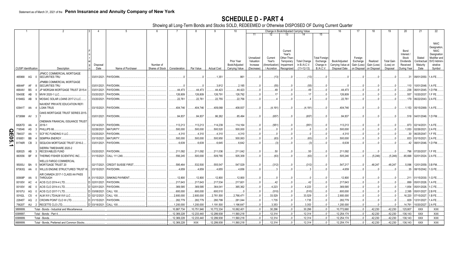## **SCHEDULE D - PART 4**

Showing all Long-Term Bonds and Stocks SOLD, REDEEMED or Otherwise DISPOSED OF During Current Quarter

|   |                             |                         |                                                    |                  |                       |                                            |             |             |                    |                                 |                       |                           |                          | Change in Book/Adjusted Carrying Value |                               |                                    | 17                         |                            | 19                    | 20                      | 21                           | 22                                               |
|---|-----------------------------|-------------------------|----------------------------------------------------|------------------|-----------------------|--------------------------------------------|-------------|-------------|--------------------|---------------------------------|-----------------------|---------------------------|--------------------------|----------------------------------------|-------------------------------|------------------------------------|----------------------------|----------------------------|-----------------------|-------------------------|------------------------------|--------------------------------------------------|
|   |                             |                         |                                                    |                  |                       |                                            |             |             |                    |                                 | 11                    |                           |                          |                                        | 15                            |                                    |                            |                            |                       |                         |                              |                                                  |
|   |                             |                         |                                                    |                  |                       |                                            |             |             |                    |                                 |                       |                           | Current                  |                                        |                               |                                    |                            |                            |                       | Bond                    |                              | <b>NAIC</b><br><b>Designation</b><br><b>NAIC</b> |
|   |                             |                         |                                                    |                  |                       |                                            |             |             |                    |                                 |                       |                           | Year's                   |                                        |                               |                                    |                            |                            |                       | Interest                |                              | Designation                                      |
|   |                             |                         |                                                    |                  |                       |                                            |             |             |                    |                                 | Unrealized            | Current                   | Other-Than-              |                                        | <b>Total Foreign</b>          |                                    | Foreign                    |                            |                       | Stock                   | Stated                       | Modifier and                                     |
|   |                             |                         |                                                    |                  |                       |                                            |             |             |                    | Prior Year                      | Valuation             | Year's                    | Temporary                | <b>Total Change</b>                    | Exchange                      | Book/Adjusted                      | Exchange                   | Realized                   | <b>Total Gain</b>     | Dividends               | Contractual                  | SVO Admini                                       |
|   | <b>CUSIP</b> Identification |                         | Description                                        | Disposal<br>Date | Name of Purchaser     | Number of<br>Shares of Stock Consideration |             | Par Value   | <b>Actual Cost</b> | Book/Adjusted<br>Carrying Value | Increase<br>(Decrease | Amortization<br>Accretion | Impairment<br>Recognized | in B./A.C.V<br>$(11+12-13)$            | Change in<br><b>B./A.C.V.</b> | Carrying Value at<br>Disposal Date | Gain (Loss)<br>on Disposal | Gain (Loss)<br>on Disposal | (Loss) on<br>Disposal | Received<br>During Year | Maturity<br>Date             | strative<br>Symbol                               |
|   | 465968 AG                   | $\overline{\mathbf{0}}$ | JPMCC COMMERCIAL MORTGAGE<br>SECURITIES TRU        | 03/01/2021.      | PAYDOWN               |                                            |             |             | .1,351             | .861                            |                       | (13)                      |                          | (13)                                   |                               |                                    |                            |                            |                       |                         | 31 09/01/2050.               | 1.A FE.                                          |
|   | 46644F                      | AF                      | JPMBB COMMERCIAL MORTGAGE<br><b>SECURITIES TRU</b> | 03/01/2021.      | PAYDOWN               |                                            |             |             | .3,812             | .2,185                          |                       | (55)                      |                          | (55)                                   |                               |                                    |                            |                            |                       |                         | .110   10/01/2048.           | 1.A FE                                           |
|   | 46644V                      | BS                      | JP MORGAN MORTGAGE TRUST 2015-4                    | 03/01/2021.      | PAYDOWN               |                                            | .44,473     | .44,473     | 44,423             | .44,423                         |                       | .49                       |                          | .49                                    |                               | .44,473                            |                            |                            |                       | .238                    | 06/01/2045.                  | 1.D FM.                                          |
|   | 55400E                      | AB                      | MVW 2020-1 LLC                                     | 03/20/2021       | PAYDOWN.              |                                            | .126,809    | 126,809     | 126,791            | 126,792                         |                       |                           |                          | .17                                    |                               | 126,809                            |                            |                            |                       | .557                    | 10/20/2037.                  | 1.F FE.                                          |
|   | 61946G                      | AB                      | MOSAIC SOLAR LOANS 2017-2 LLC.                     | 03/20/2021.      | PAYDOWN               |                                            | .22,761     | .22,761     | .22,755            | .22,756                         |                       |                           |                          |                                        |                               | .22,761                            |                            |                            |                       |                         | .179 06/22/2043.             | 2.A FE.                                          |
|   | 63941T AA                   |                         | NAVIENT PRIVATE EDUCATION REFI<br><b>LOAN TRUS</b> | 03/15/2021.      | PAYDOWN               |                                            | 404,746     | 404,746     | .409,068           | 408,937                         |                       | (4, 191)                  |                          | (4, 191)                               |                               | 404,746                            |                            |                            |                       |                         | .1,153 05/15/2069. 1.A FE.   |                                                  |
|   | 67389M AV 3                 |                         | OAKS MORTGAGE TRUST SERIES 2015-                   |                  | 03/01/2021. PAYDOWN   |                                            | .84,837     | 84,837      | .86,262            | .85,494                         |                       | (657)                     |                          | (657)                                  |                               | .84,837                            |                            |                            |                       |                         | .518   04/01/2046.   1.D FM. |                                                  |
|   | 68267D                      | AA                      | ONEMAIN FINANCIAL ISSUANCE TRUST<br>2019-1         | 03/14/2021.      | PAYDOWN               |                                            | .113,213    | .113,213    | .114,239           | 114,164                         |                       | (951                      |                          | (951)                                  |                               | .113,213                           |                            |                            |                       | .873                    | 02/14/2031.                  | 1.A FE                                           |
| г | 718546                      | AS                      | PHILLIPS 66.                                       | 02/26/2021       | <b>MATURITY</b>       |                                            | .500,000    | .500,000    | .500,520           | .500,000                        |                       |                           |                          |                                        |                               | .500,000                           |                            |                            |                       | 1,053                   | 02/26/2021                   | 2.A FE.                                          |
|   | 784037                      | AA                      | SCF RC FUNDING II LLC                              | 03/25/2021       | PAYDOWN               |                                            | 4,310       | 4,310       | .4,310             | .4,310                          |                       |                           |                          |                                        |                               | .4,310                             |                            |                            |                       | .30                     | 06/25/2047.                  | 1.F FE.                                          |
| 0 | 816851                      | BB                      | SEMPRA ENERGY.                                     | 03/15/2021       | MATURITY.             |                                            | .500,000    | .500,000    | .500,950           | .500,063                        |                       | (63)                      |                          | (63)                                   |                               | .500,000                           |                            |                            |                       | .833                    | 03/15/2021.                  | 2.A FE.                                          |
|   | 81746R                      | CB                      | SEQUOIA MORTGAGE TRUST 2016-2.                     | 03/01/2021.      | PAYDOWN               |                                            | .6,639      | .6,639      | .6,645             | .6,642                          |                       |                           |                          | (3                                     |                               | .6,639                             |                            |                            |                       |                         | .42 08/01/2046.              | 1.D FM.                                          |
|   | 826525                      | AB<br>-3                | SIERRA TIMESHARE 2020-2<br><b>RECEIVABLES FUND</b> | 03/20/2021.      | PAYDOWN               |                                            | .211,092    | .211,092    | .211,036           | .211,042                        |                       | .50                       |                          | .50                                    |                               | .211,092                           |                            |                            |                       | .796                    | 07/20/2037.                  | 1.F FE.                                          |
|   | 883556                      | <b>BF</b>               | THERMO FISHER SCIENTIFIC INC                       | 01/15/2021.      | CALL 111.249          |                                            | .556,245    | .500,000    | .509,765           | .505,309                        |                       | (63)                      |                          | (63)                                   |                               | .505,246                           |                            | (5,246)                    | (5,246)               | .65,698                 | 02/01/2024.                  | 2.A FE.                                          |
|   | 95000J                      | BA                      | <b>WELLS FARGO COMMERCIAL</b><br>MORTGAGE TRUST 20 | 02/17/2021       | CREDIT SUISSE FIRST   |                                            | .595,464    | .532,500    | .555,547           | .547,529                        |                       | (312)                     |                          | (312)                                  |                               | .547,217                           |                            | .48,247                    | .48,247               | .5,096                  | 12/01/2059.                  | 3.B FM.                                          |
|   | 97063Q                      | AA<br>- 0               | WILLIS ENGINE STRUCTURED TRUST                     | 03/15/2021.      | PAYDOWN               |                                            | .4,659      | .4,659      | .4,655             | .4,656                          |                       |                           |                          |                                        |                               | .4,659                             |                            |                            |                       |                         | 35 08/15/2042.               | 1.G FE.                                          |
|   | 00908P                      | AA<br>-5                | AIR CANADA 2017-1 CLASS AA PASS<br>THROUGH         | A 01/15/2021.    | <b>SINKING PAYMEN</b> |                                            | .12,800     | .12,800     | .12,800            | .12,800                         |                       |                           |                          |                                        |                               | .12,800                            |                            |                            |                       |                         | 211 01/15/2030.              | 1.G FE                                           |
|   | 00100V                      | AC                      | ACIS CLO 2014-4 LTD.                               | D 02/01/2021     | PAYDOWN               |                                            | .217,643    | 217,643     | .217,534           | .217,601                        |                       |                           |                          | .42                                    |                               | .217,643                           |                            |                            |                       | .899                    | 05/01/2026.                  | I.A FE.                                          |
|   | 00100V                      | AE<br>- 0               | ACIS CLO 2014-4 LTD.                               | D 02/01/2021.    | PAYDOWN               |                                            | 369,585     | .369,585    | .364,041           | .365,362                        |                       | .4,223                    |                          | .4,223                                 |                               | .369,585                           |                            |                            |                       | 1,854                   | 05/01/2026.                  | 1.C FE.                                          |
|   | 00107U                      | AG                      | ACIS CLO 2017-7 LTD.                               | D 03/08/2021.    | <b>CALL 100.</b>      |                                            | .600,000    | .600,000    | .600,510           |                                 |                       | (510)                     |                          | (510)                                  |                               | .600,000                           |                            |                            |                       | .2,395                  | 05/01/2027.                  | 2.B FE.                                          |
|   | 00162L                      | CS.                     | ALM XVI LTD/ALM XVI LLC                            | D 02/12/2021     | CALL 100.             |                                            | .2,800,000  | 2,800,000   | .2,761,500         | 2,766,471                       |                       | .33,529                   |                          | .33,529                                |                               | 2,800,000                          |                            |                            |                       | .16,220                 | 07/15/2027.                  | 1.B FE.                                          |
|   | 22845T                      | AQ<br>-2                | <b>CROWN POINT CLO III LTD</b>                     | D 01/15/2021.    | PAYDOWN               |                                            | 282,779     | 282,779     | 280,799            | 281,044                         |                       | .1,735                    |                          | .1,735                                 |                               | 282,779                            |                            |                            |                       | .829                    | 12/31/2027.                  | 1.A FE.                                          |
|   | 75620T                      | AU                      | 2 RECETTE CLO LTD.                                 | D 03/18/2021.    | <b>CALL 100</b>       |                                            | .1,200,000  | .1,200,000  | 1,191,500          | .1,196,647                      |                       | 3,353                     | $\Omega$                 | .3,353                                 | 0                             | 1,200,000                          |                            |                            |                       | .14,791                 | 10/20/2027.                  | 2.A FE                                           |
|   | 3899999                     |                         | Total - Bonds - Industrial and Miscellaneous       |                  |                       |                                            | 10,887,734  | .10,751,946 | 10,772,334         | 10,062,401                      |                       | .30,296                   | $\Omega$                 | .30,296                                | .0                            | 10,772,680                         |                            | .42,230                    | .42,230               | 125,807                 | XXX                          | XXX                                              |
|   | 8399997                     |                         | Total - Bonds - Part 4                             |                  |                       |                                            | .12,369,228 | 12,233,440  | 12,299,938         | 11,560,218                      |                       | .12,314                   | 0                        | .12,314                                | 0                             | 12,254,174                         |                            | .42,230                    | 42,230                | 136,143                 | <b>XXX</b>                   | XXX                                              |
|   | 8399999.                    |                         | Total - Bonds                                      |                  |                       |                                            | 12,369,228  | 12,233,440  | 12,299,938         | 11,560,218                      |                       | 12,314                    | $\Omega$                 | 12,314                                 | .0                            | 12,254,174                         |                            | .42,230                    | 42,230                | 136,143                 | XXX                          | XXX                                              |
|   | 9999999.                    |                         | Total - Bonds, Preferred and Common Stocks.        |                  |                       |                                            | 12,369,228  | XXX         | 12,299,938         | 11,560,218                      |                       | .12,314                   | $\Omega$ .               | .12,314                                | 0                             | 12,254,174                         |                            | .42,230                    | 42,230                | 136,143                 | XXX                          | <b>XXX</b>                                       |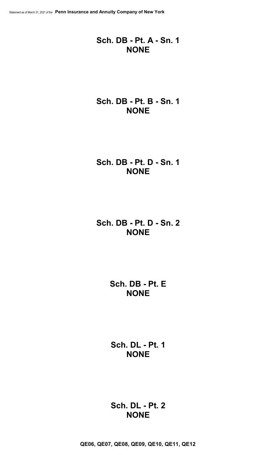## **Sch. DB - Pt. A - Sn. 1 NONE**

## **Sch. DB - Pt. B - Sn. 1 NONE**

## **Sch. DB - Pt. D - Sn. 1 NONE**

## **Sch. DB - Pt. D - Sn. 2 NONE**

**Sch. DB - Pt. E NONE**

**Sch. DL - Pt. 1 NONE**

## **Sch. DL - Pt. 2 NONE**

**QE06, QE07, QE08, QE09, QE10, QE11, QE12**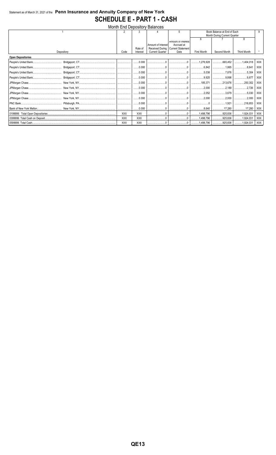## Statement as of March 31, 2021 of the Penn Insurance and Annuity Company of New York **SCHEDULE E - PART 1 - CASH**

| <b>Month End Depository Balances</b> |            |            |                              |                                                                                                                                                                                                                                                                                                                                                                                                                                                                 |                           |                    |                              |                    |            |  |  |  |  |
|--------------------------------------|------------|------------|------------------------------|-----------------------------------------------------------------------------------------------------------------------------------------------------------------------------------------------------------------------------------------------------------------------------------------------------------------------------------------------------------------------------------------------------------------------------------------------------------------|---------------------------|--------------------|------------------------------|--------------------|------------|--|--|--|--|
|                                      |            |            |                              |                                                                                                                                                                                                                                                                                                                                                                                                                                                                 | 5                         |                    | Book Balance at End of Each  |                    |            |  |  |  |  |
|                                      |            |            |                              |                                                                                                                                                                                                                                                                                                                                                                                                                                                                 |                           |                    | Month During Current Quarter |                    |            |  |  |  |  |
|                                      |            |            |                              |                                                                                                                                                                                                                                                                                                                                                                                                                                                                 | Amount or interest        | 6                  |                              | 8                  |            |  |  |  |  |
|                                      |            |            |                              | Amount of Interest                                                                                                                                                                                                                                                                                                                                                                                                                                              | Accrued at                |                    |                              |                    |            |  |  |  |  |
|                                      |            |            | Rate of                      | <b>Received During</b>                                                                                                                                                                                                                                                                                                                                                                                                                                          | <b>Current Statement</b>  |                    |                              |                    |            |  |  |  |  |
|                                      | Depository | Code       | Interest                     | <b>Current Quarter</b>                                                                                                                                                                                                                                                                                                                                                                                                                                          | Date                      | <b>First Month</b> | Second Month                 | <b>Third Month</b> |            |  |  |  |  |
| <b>Open Depositories</b>             |            |            |                              |                                                                                                                                                                                                                                                                                                                                                                                                                                                                 |                           |                    |                              |                    |            |  |  |  |  |
|                                      |            |            |                              | $\ldots \ldots \ldots 0.000$   0                                                                                                                                                                                                                                                                                                                                                                                                                                |                           | 1, 276, 928        | $\ldots$ 665,452             | 1,404,018          | XXX        |  |  |  |  |
|                                      |            |            |                              |                                                                                                                                                                                                                                                                                                                                                                                                                                                                 |                           |                    |                              | $\ldots$ 8,641     | XXX        |  |  |  |  |
|                                      |            |            |                              |                                                                                                                                                                                                                                                                                                                                                                                                                                                                 | 0                         | $\ldots$ 5,038     |                              | 5,304              | XXX        |  |  |  |  |
|                                      |            |            |                              |                                                                                                                                                                                                                                                                                                                                                                                                                                                                 | 0                         | 9,925              | $$ $9,898$                   | 1.1.1.1.1.0.877    | <b>XXX</b> |  |  |  |  |
|                                      |            |            |                              |                                                                                                                                                                                                                                                                                                                                                                                                                                                                 | 0                         |                    | 213,676                      | $\ldots$ 250,302   | XXX        |  |  |  |  |
|                                      |            |            |                              | $\begin{bmatrix} 0.000 & 0.000 \\ 0.000 & 0.000 \\ 0.000 & 0.000 \\ 0.000 & 0.000 \\ 0.000 & 0.000 \\ 0.000 & 0.000 \\ 0.000 & 0.000 \\ 0.000 & 0.000 \\ 0.000 & 0.000 \\ 0.000 & 0.000 \\ 0.000 & 0.000 \\ 0.000 & 0.000 \\ 0.000 & 0.000 \\ 0.000 & 0.000 \\ 0.000 & 0.000 \\ 0.0$                                                                                                                                                                            |                           | $\ldots$ 2,000     | 2,189                        |                    | <b>XXX</b> |  |  |  |  |
|                                      |            |            |                              |                                                                                                                                                                                                                                                                                                                                                                                                                                                                 | 0                         | $\ldots$ 2,052     | $\ldots$ 3,679               | 5,030              | <b>XXX</b> |  |  |  |  |
|                                      |            |            | $\ldots \ldots \ldots 0.000$ | 0                                                                                                                                                                                                                                                                                                                                                                                                                                                               | . 00                      | 2,000              | 2,000                        | 2,000              | <b>XXX</b> |  |  |  |  |
|                                      |            |            | $\ldots \ldots \ldots 0.000$ | $\begin{array}{l} \rule{0.2cm}{0.15mm} \ldots \end{array} \qquad \begin{array}{ll} \rule{0.2cm}{0.15mm} \ldots \end{array} \qquad \begin{array}{ll} \rule{0.2cm}{0.15mm} \ldots \end{array} \qquad \begin{array}{ll} \rule{0.2cm}{0.15mm} \ldots \end{array} \qquad \begin{array}{ll} \rule{0.2cm}{0.15mm} \ldots \end{array} \qquad \begin{array}{ll} \rule{0.2cm}{0.15mm} \ldots \end{array} \qquad \begin{array}{ll} \rule{0.2cm}{0.15mm} \ldots \end{array$ | 0                         | 0                  | 1,921                        | 218,853            | <b>XXX</b> |  |  |  |  |
|                                      |            |            | $\ldots \ldots 0.000$        |                                                                                                                                                                                                                                                                                                                                                                                                                                                                 |                           | 8,640              | 17,280                       | 17,280             | <b>XXX</b> |  |  |  |  |
|                                      |            | <b>XXX</b> | <b>XXX</b>                   |                                                                                                                                                                                                                                                                                                                                                                                                                                                                 |                           | 1,498,796          | 925,836                      | 1,924,031          | XXX        |  |  |  |  |
|                                      |            | <b>XXX</b> | <b>XXX</b>                   |                                                                                                                                                                                                                                                                                                                                                                                                                                                                 |                           | 1,498,796          | $\ldots$ 925,836             | 1,924,031          | XXX        |  |  |  |  |
|                                      |            | <b>XXX</b> | <b>XXX</b>                   |                                                                                                                                                                                                                                                                                                                                                                                                                                                                 | ________________________0 |                    |                              | 1,924,031          | XXX        |  |  |  |  |